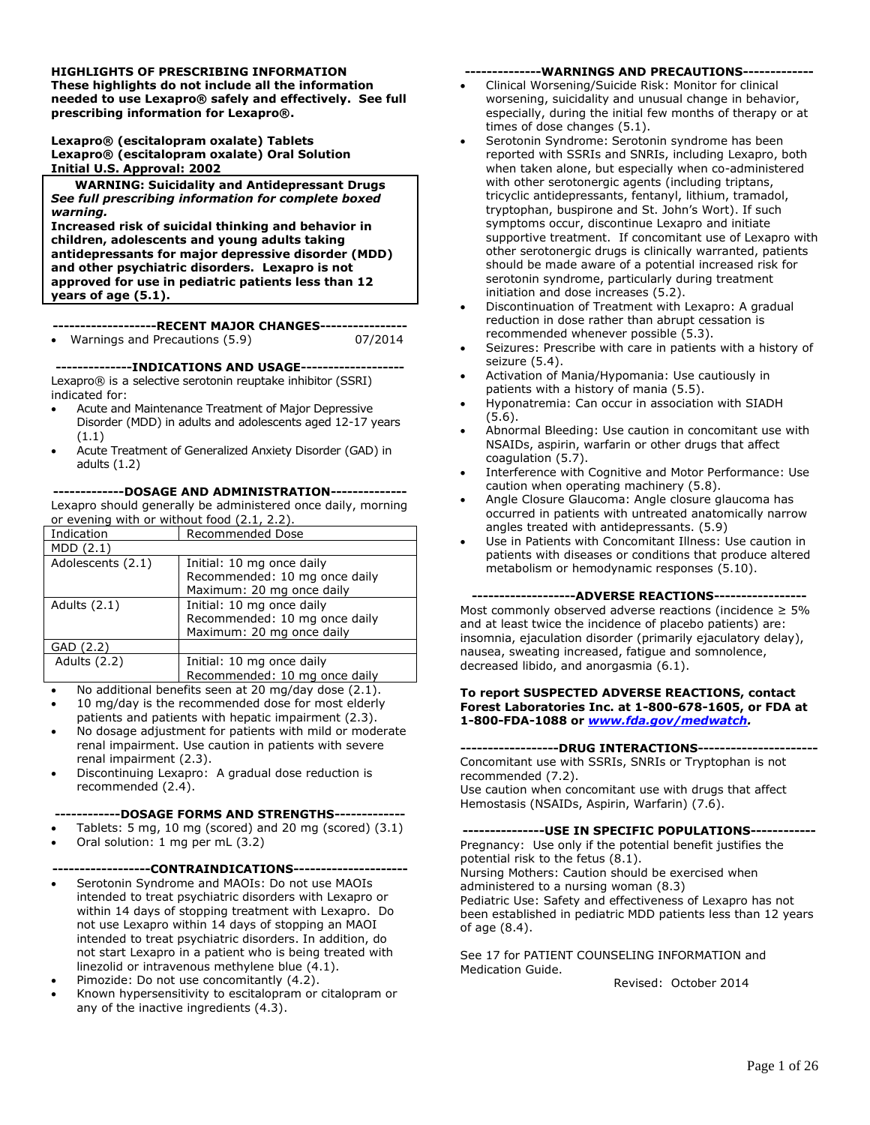#### **HIGHLIGHTS OF PRESCRIBING INFORMATION These highlights do not include all the information needed to use Lexapro® safely and effectively. See full prescribing information for Lexapro®.**

**Lexapro® (escitalopram oxalate) Tablets Lexapro® (escitalopram oxalate) Oral Solution Initial U.S. Approval: 2002**

**WARNING: Suicidality and Antidepressant Drugs** *See full prescribing information for complete boxed warning.*

**Increased risk of suicidal thinking and behavior in children, adolescents and young adults taking antidepressants for major depressive disorder (MDD) and other psychiatric disorders. Lexapro is not approved for use in pediatric patients less than 12 years of age (5.1).**

**-------------------RECENT MAJOR CHANGES----------------** Warnings and Precautions (5.9) 07/2014

**--------------INDICATIONS AND USAGE-------------------** Lexapro® is a selective serotonin reuptake inhibitor (SSRI) indicated for:

- Acute and Maintenance Treatment of Major Depressive Disorder (MDD) in adults and adolescents aged 12-17 years (1.1)
- Acute Treatment of Generalized Anxiety Disorder (GAD) in adults (1.2)

**-------------DOSAGE AND ADMINISTRATION--------------**

Lexapro should generally be administered once daily, morning or evening with or without food (2.1, 2.2).

| Indication        | <b>Recommended Dose</b>       |  |  |
|-------------------|-------------------------------|--|--|
| MDD(2.1)          |                               |  |  |
| Adolescents (2.1) | Initial: 10 mg once daily     |  |  |
|                   | Recommended: 10 mg once daily |  |  |
|                   | Maximum: 20 mg once daily     |  |  |
| Adults $(2.1)$    | Initial: 10 mg once daily     |  |  |
|                   | Recommended: 10 mg once daily |  |  |
|                   | Maximum: 20 mg once daily     |  |  |
| GAD (2.2)         |                               |  |  |
| Adults (2.2)      | Initial: 10 mg once daily     |  |  |
|                   | Recommended: 10 mg once daily |  |  |
| .<br>. .<br>. .   | ---                           |  |  |

No additional benefits seen at 20 mg/day dose (2.1).

- 10 mg/day is the recommended dose for most elderly patients and patients with hepatic impairment (2.3).
- No dosage adjustment for patients with mild or moderate renal impairment. Use caution in patients with severe renal impairment (2.3).
- Discontinuing Lexapro: A gradual dose reduction is recommended (2.4).

# **------------DOSAGE FORMS AND STRENGTHS-------------**

- Tablets: 5 mg, 10 mg (scored) and 20 mg (scored) (3.1)
- Oral solution: 1 mg per mL (3.2)
- **------------------CONTRAINDICATIONS---------------------**
- Serotonin Syndrome and MAOIs: Do not use MAOIs intended to treat psychiatric disorders with Lexapro or within 14 days of stopping treatment with Lexapro. Do not use Lexapro within 14 days of stopping an MAOI intended to treat psychiatric disorders. In addition, do not start Lexapro in a patient who is being treated with linezolid or intravenous methylene blue (4.1).
- Pimozide: Do not use concomitantly (4.2).
- Known hypersensitivity to escitalopram or citalopram or any of the inactive ingredients (4.3).

# **--------------WARNINGS AND PRECAUTIONS-------------**

- Clinical Worsening/Suicide Risk: Monitor for clinical worsening, suicidality and unusual change in behavior, especially, during the initial few months of therapy or at times of dose changes (5.1).
- Serotonin Syndrome: Serotonin syndrome has been reported with SSRIs and SNRIs, including Lexapro, both when taken alone, but especially when co-administered with other serotonergic agents (including triptans, tricyclic antidepressants, fentanyl, lithium, tramadol, tryptophan, buspirone and St. John's Wort). If such symptoms occur, discontinue Lexapro and initiate supportive treatment. If concomitant use of Lexapro with other serotonergic drugs is clinically warranted, patients should be made aware of a potential increased risk for serotonin syndrome, particularly during treatment initiation and dose increases (5.2).
- Discontinuation of Treatment with Lexapro: A gradual reduction in dose rather than abrupt cessation is recommended whenever possible (5.3).
- Seizures: Prescribe with care in patients with a history of seizure (5.4).
- Activation of Mania/Hypomania: Use cautiously in patients with a history of mania (5.5).
- Hyponatremia: Can occur in association with SIADH (5.6).
- Abnormal Bleeding: Use caution in concomitant use with NSAIDs, aspirin, warfarin or other drugs that affect coagulation (5.7).
- Interference with Cognitive and Motor Performance: Use caution when operating machinery (5.8).
- Angle Closure Glaucoma: Angle closure glaucoma has occurred in patients with untreated anatomically narrow angles treated with antidepressants. (5.9)
- Use in Patients with Concomitant Illness: Use caution in patients with diseases or conditions that produce altered metabolism or hemodynamic responses (5.10).

**-------------------ADVERSE REACTIONS-----------------** Most commonly observed adverse reactions (incidence  $\geq 5\%$ and at least twice the incidence of placebo patients) are: insomnia, ejaculation disorder (primarily ejaculatory delay), nausea, sweating increased, fatigue and somnolence, decreased libido, and anorgasmia (6.1).

# **To report SUSPECTED ADVERSE REACTIONS, contact Forest Laboratories Inc. at 1-800-678-1605, or FDA at 1-800-FDA-1088 or** *[www.fda.gov/medwatch.](http://www.fda.gov/medwatch)*

**------------------DRUG INTERACTIONS----------------------** Concomitant use with SSRIs, SNRIs or Tryptophan is not recommended (7.2).

Use caution when concomitant use with drugs that affect Hemostasis (NSAIDs, Aspirin, Warfarin) (7.6).

**---------------USE IN SPECIFIC POPULATIONS------------** Pregnancy: Use only if the potential benefit justifies the potential risk to the fetus (8.1). Nursing Mothers: Caution should be exercised when administered to a nursing woman (8.3) Pediatric Use: Safety and effectiveness of Lexapro has not been established in pediatric MDD patients less than 12 years of age (8.4).

See 17 for PATIENT COUNSELING INFORMATION and Medication Guide.

Revised: October 2014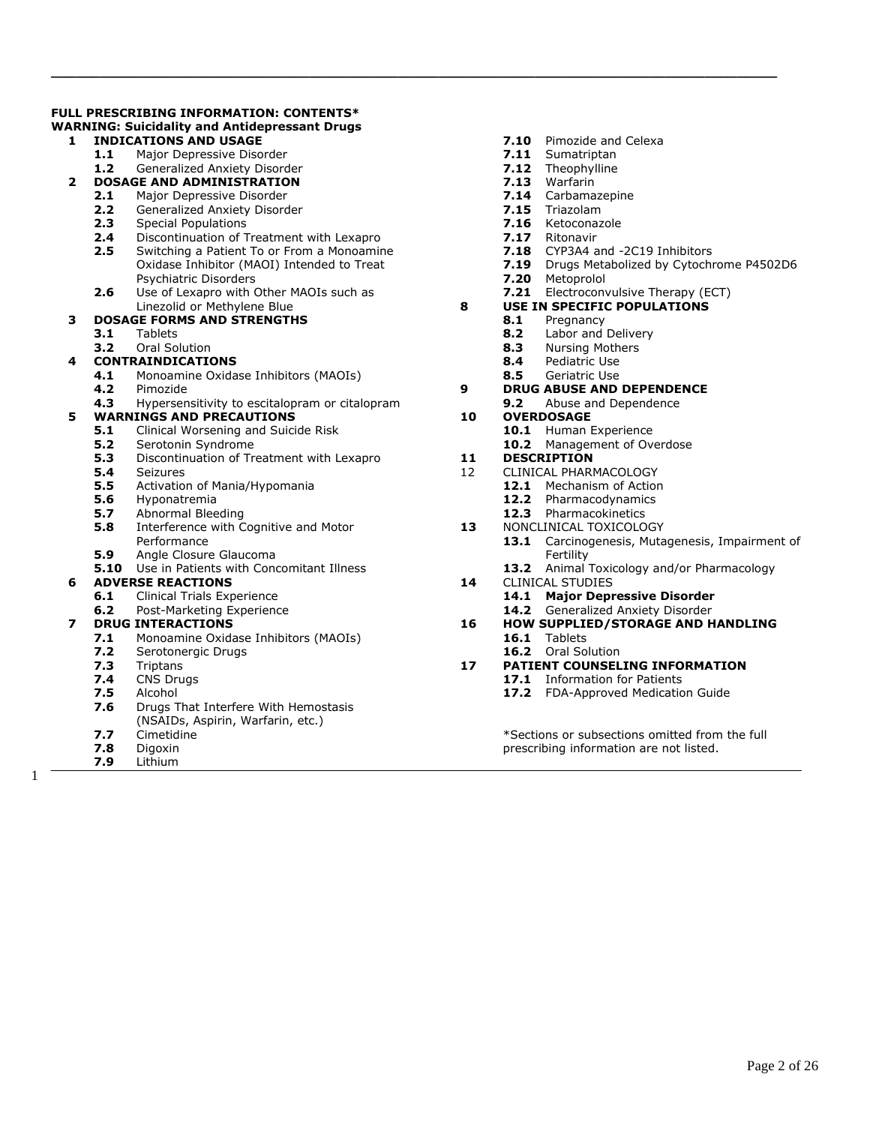|              |                  | <b>WARNING: Suicidality and Antidepressant Drugs</b>             |    |     |                                                 |
|--------------|------------------|------------------------------------------------------------------|----|-----|-------------------------------------------------|
| 1            |                  | <b>INDICATIONS AND USAGE</b>                                     |    |     | 7.10 Pimozide and Celexa                        |
|              | 1.1              | Major Depressive Disorder                                        |    |     | 7.11 Sumatriptan                                |
| $\mathbf{2}$ | 1.2              | Generalized Anxiety Disorder<br><b>DOSAGE AND ADMINISTRATION</b> |    |     | 7.12 Theophylline<br>7.13 Warfarin              |
|              |                  |                                                                  |    |     |                                                 |
|              | 2.1              | Major Depressive Disorder                                        |    |     | 7.14 Carbamazepine                              |
|              | 2.2 <sub>2</sub> | Generalized Anxiety Disorder                                     |    |     | 7.15 Triazolam                                  |
|              | 2.3 <sub>2</sub> | <b>Special Populations</b>                                       |    |     | 7.16 Ketoconazole                               |
|              | 2.4              | Discontinuation of Treatment with Lexapro                        |    |     | 7.17 Ritonavir                                  |
|              | 2.5 <sub>2</sub> | Switching a Patient To or From a Monoamine                       |    |     | 7.18 CYP3A4 and -2C19 Inhibitors                |
|              |                  | Oxidase Inhibitor (MAOI) Intended to Treat                       |    |     | 7.19 Drugs Metabolized by Cytochrome P4502D6    |
|              |                  | Psychiatric Disorders                                            |    |     | 7.20 Metoprolol                                 |
|              | 2.6              | Use of Lexapro with Other MAOIs such as                          |    |     | 7.21 Electroconvulsive Therapy (ECT)            |
|              |                  | Linezolid or Methylene Blue                                      | 8  |     | <b>USE IN SPECIFIC POPULATIONS</b>              |
| з            |                  | <b>DOSAGE FORMS AND STRENGTHS</b>                                |    | 8.1 | Pregnancy                                       |
|              | 3.1              | <b>Tablets</b>                                                   |    | 8.2 | Labor and Delivery                              |
|              | 3.2              | Oral Solution                                                    |    | 8.3 | <b>Nursing Mothers</b>                          |
| 4            |                  | <b>CONTRAINDICATIONS</b>                                         |    | 8.4 | Pediatric Use                                   |
|              | 4.1              | Monoamine Oxidase Inhibitors (MAOIs)                             |    | 8.5 | Geriatric Use                                   |
|              | 4.2              | Pimozide                                                         | 9  |     | <b>DRUG ABUSE AND DEPENDENCE</b>                |
|              | 4.3              | Hypersensitivity to escitalopram or citalopram                   |    | 9.2 | Abuse and Dependence                            |
| 5            |                  | <b>WARNINGS AND PRECAUTIONS</b>                                  | 10 |     | <b>OVERDOSAGE</b>                               |
|              | 5.1              | Clinical Worsening and Suicide Risk                              |    |     | 10.1 Human Experience                           |
|              | 5.2              | Serotonin Syndrome                                               |    |     | 10.2 Management of Overdose                     |
|              | 5.3              | Discontinuation of Treatment with Lexapro                        | 11 |     | <b>DESCRIPTION</b>                              |
|              | 5.4              | Seizures                                                         | 12 |     | <b>CLINICAL PHARMACOLOGY</b>                    |
|              | 5.5              | Activation of Mania/Hypomania                                    |    |     | 12.1 Mechanism of Action                        |
|              | 5.6              | Hyponatremia                                                     |    |     | 12.2 Pharmacodynamics                           |
|              | 5.7              | Abnormal Bleeding                                                |    |     | 12.3 Pharmacokinetics                           |
|              | 5.8              | Interference with Cognitive and Motor                            | 13 |     | NONCLINICAL TOXICOLOGY                          |
|              |                  | Performance                                                      |    |     | 13.1 Carcinogenesis, Mutagenesis, Impairment of |
|              | 5.9              | Angle Closure Glaucoma                                           |    |     | Fertility                                       |
|              |                  | <b>5.10</b> Use in Patients with Concomitant Illness             |    |     | 13.2 Animal Toxicology and/or Pharmacology      |
| 6            |                  | <b>ADVERSE REACTIONS</b>                                         | 14 |     | <b>CLINICAL STUDIES</b>                         |
|              | 6.1              | Clinical Trials Experience                                       |    |     | 14.1 Major Depressive Disorder                  |
|              | 6.2              | Post-Marketing Experience                                        |    |     | 14.2 Generalized Anxiety Disorder               |
| 7            |                  | <b>DRUG INTERACTIONS</b>                                         | 16 |     | HOW SUPPLIED/STORAGE AND HANDLING               |
|              |                  |                                                                  |    |     |                                                 |
|              | 7.1              | Monoamine Oxidase Inhibitors (MAOIs)                             |    |     | 16.1 Tablets                                    |
|              | 7.2              | Serotonergic Drugs                                               |    |     | 16.2 Oral Solution                              |
|              | 7.3              | Triptans                                                         | 17 |     | <b>PATIENT COUNSELING INFORMATION</b>           |
|              | 7.4              | <b>CNS Drugs</b>                                                 |    |     | <b>17.1</b> Information for Patients            |
|              | 7.5              | Alcohol                                                          |    |     | 17.2 FDA-Approved Medication Guide              |
|              | 7.6              | Drugs That Interfere With Hemostasis                             |    |     |                                                 |
|              |                  | (NSAIDs, Aspirin, Warfarin, etc.)                                |    |     |                                                 |
|              | 7.7              | Cimetidine                                                       |    |     | *Sections or subsections omitted from the full  |
|              | 7.8              | Digoxin                                                          |    |     | prescribing information are not listed.         |
|              | 7.9              | Lithium                                                          |    |     |                                                 |

**\_\_\_\_\_\_\_\_\_\_\_\_\_\_\_\_\_\_\_\_\_\_\_\_\_\_\_\_\_\_\_\_\_\_\_\_\_\_\_\_\_\_\_\_\_\_\_\_\_\_\_\_\_\_\_\_\_\_\_\_\_\_\_\_\_\_\_\_\_\_\_\_\_\_\_\_\_\_\_\_\_\_\_\_\_\_\_\_\_\_**

1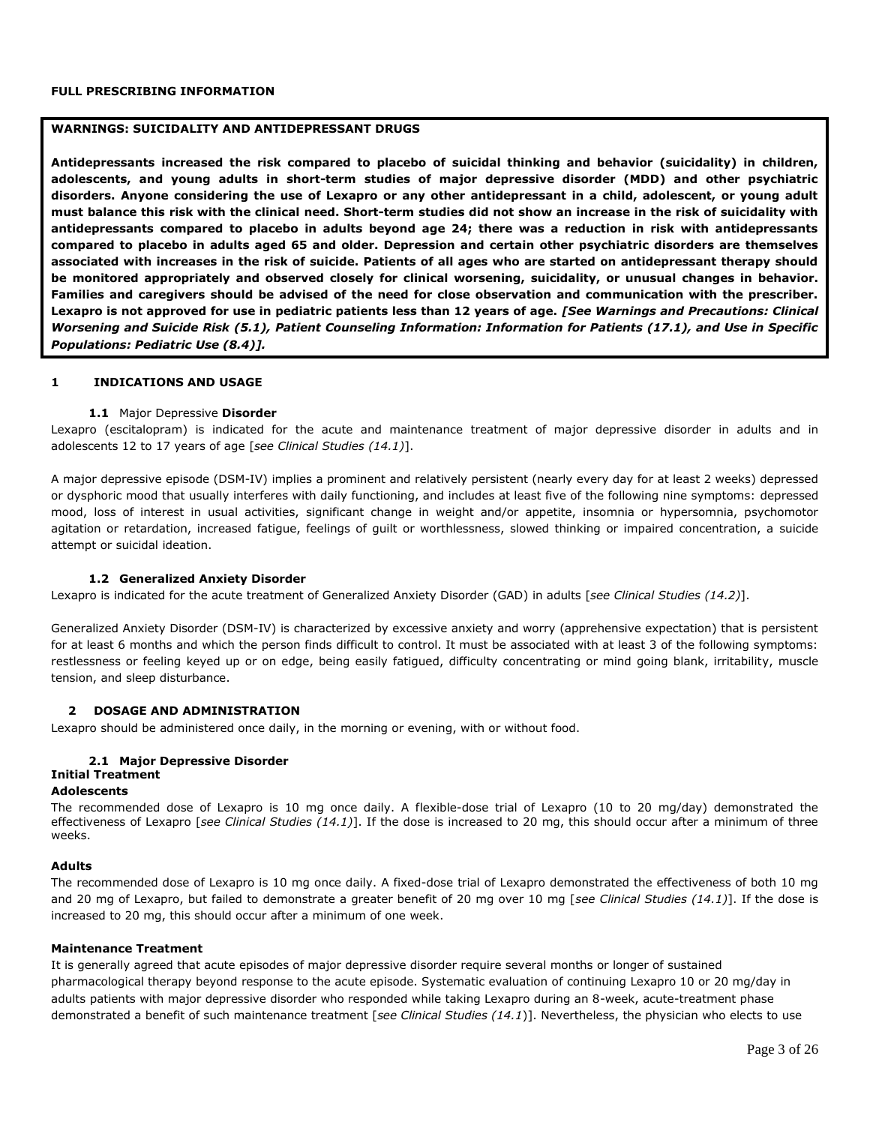## **FULL PRESCRIBING INFORMATION**

## **WARNINGS: SUICIDALITY AND ANTIDEPRESSANT DRUGS**

**Antidepressants increased the risk compared to placebo of suicidal thinking and behavior (suicidality) in children, adolescents, and young adults in short-term studies of major depressive disorder (MDD) and other psychiatric disorders. Anyone considering the use of Lexapro or any other antidepressant in a child, adolescent, or young adult must balance this risk with the clinical need. Short-term studies did not show an increase in the risk of suicidality with antidepressants compared to placebo in adults beyond age 24; there was a reduction in risk with antidepressants compared to placebo in adults aged 65 and older. Depression and certain other psychiatric disorders are themselves associated with increases in the risk of suicide. Patients of all ages who are started on antidepressant therapy should be monitored appropriately and observed closely for clinical worsening, suicidality, or unusual changes in behavior. Families and caregivers should be advised of the need for close observation and communication with the prescriber. Lexapro is not approved for use in pediatric patients less than 12 years of age.** *[See Warnings and Precautions: Clinical Worsening and Suicide Risk (5.1), Patient Counseling Information: Information for Patients (17.1), and Use in Specific Populations: Pediatric Use (8.4)].*

## **1 INDICATIONS AND USAGE**

#### **1.1** Major Depressive **Disorder**

Lexapro (escitalopram) is indicated for the acute and maintenance treatment of major depressive disorder in adults and in adolescents 12 to 17 years of age [*see Clinical Studies (14.1)*].

A major depressive episode (DSM-IV) implies a prominent and relatively persistent (nearly every day for at least 2 weeks) depressed or dysphoric mood that usually interferes with daily functioning, and includes at least five of the following nine symptoms: depressed mood, loss of interest in usual activities, significant change in weight and/or appetite, insomnia or hypersomnia, psychomotor agitation or retardation, increased fatigue, feelings of guilt or worthlessness, slowed thinking or impaired concentration, a suicide attempt or suicidal ideation.

## **1.2 Generalized Anxiety Disorder**

Lexapro is indicated for the acute treatment of Generalized Anxiety Disorder (GAD) in adults [*see Clinical Studies (14.2)*].

Generalized Anxiety Disorder (DSM-IV) is characterized by excessive anxiety and worry (apprehensive expectation) that is persistent for at least 6 months and which the person finds difficult to control. It must be associated with at least 3 of the following symptoms: restlessness or feeling keyed up or on edge, being easily fatigued, difficulty concentrating or mind going blank, irritability, muscle tension, and sleep disturbance.

## **2 DOSAGE AND ADMINISTRATION**

Lexapro should be administered once daily, in the morning or evening, with or without food.

# **2.1 Major Depressive Disorder**

# **Initial Treatment**

#### **Adolescents**

The recommended dose of Lexapro is 10 mg once daily. A flexible-dose trial of Lexapro (10 to 20 mg/day) demonstrated the effectiveness of Lexapro [*see Clinical Studies (14.1)*]. If the dose is increased to 20 mg, this should occur after a minimum of three weeks.

#### **Adults**

The recommended dose of Lexapro is 10 mg once daily. A fixed-dose trial of Lexapro demonstrated the effectiveness of both 10 mg and 20 mg of Lexapro, but failed to demonstrate a greater benefit of 20 mg over 10 mg [*see Clinical Studies (14.1)*]. If the dose is increased to 20 mg, this should occur after a minimum of one week.

#### **Maintenance Treatment**

It is generally agreed that acute episodes of major depressive disorder require several months or longer of sustained pharmacological therapy beyond response to the acute episode. Systematic evaluation of continuing Lexapro 10 or 20 mg/day in adults patients with major depressive disorder who responded while taking Lexapro during an 8-week, acute-treatment phase demonstrated a benefit of such maintenance treatment [*see Clinical Studies (14.1*)]. Nevertheless, the physician who elects to use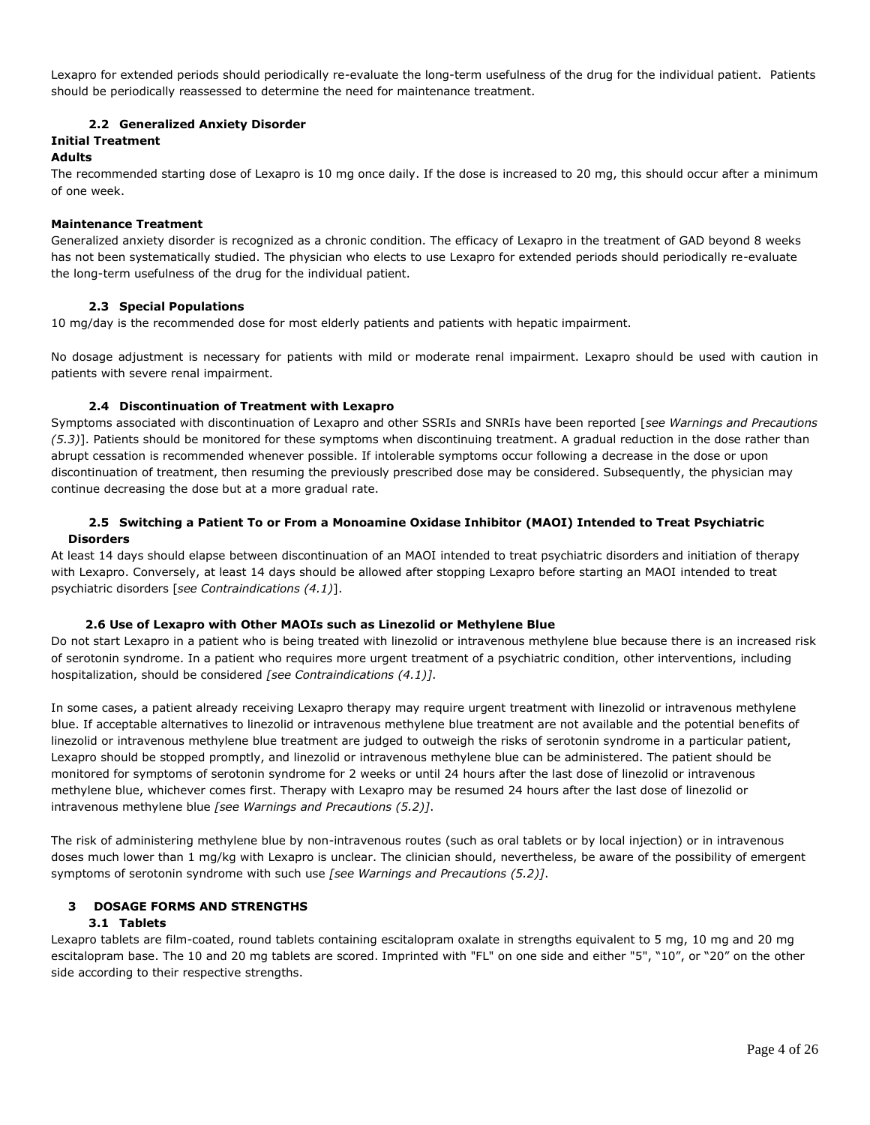Lexapro for extended periods should periodically re-evaluate the long-term usefulness of the drug for the individual patient. Patients should be periodically reassessed to determine the need for maintenance treatment.

# **2.2 Generalized Anxiety Disorder**

# **Initial Treatment**

# **Adults**

The recommended starting dose of Lexapro is 10 mg once daily. If the dose is increased to 20 mg, this should occur after a minimum of one week.

# **Maintenance Treatment**

Generalized anxiety disorder is recognized as a chronic condition. The efficacy of Lexapro in the treatment of GAD beyond 8 weeks has not been systematically studied. The physician who elects to use Lexapro for extended periods should periodically re-evaluate the long-term usefulness of the drug for the individual patient.

# **2.3 Special Populations**

10 mg/day is the recommended dose for most elderly patients and patients with hepatic impairment.

No dosage adjustment is necessary for patients with mild or moderate renal impairment. Lexapro should be used with caution in patients with severe renal impairment.

# **2.4 Discontinuation of Treatment with Lexapro**

Symptoms associated with discontinuation of Lexapro and other SSRIs and SNRIs have been reported [*see Warnings and Precautions (5.3)*]. Patients should be monitored for these symptoms when discontinuing treatment. A gradual reduction in the dose rather than abrupt cessation is recommended whenever possible. If intolerable symptoms occur following a decrease in the dose or upon discontinuation of treatment, then resuming the previously prescribed dose may be considered. Subsequently, the physician may continue decreasing the dose but at a more gradual rate.

# **2.5 Switching a Patient To or From a Monoamine Oxidase Inhibitor (MAOI) Intended to Treat Psychiatric Disorders**

At least 14 days should elapse between discontinuation of an MAOI intended to treat psychiatric disorders and initiation of therapy with Lexapro. Conversely, at least 14 days should be allowed after stopping Lexapro before starting an MAOI intended to treat psychiatric disorders [*see Contraindications (4.1)*].

# **2.6 Use of Lexapro with Other MAOIs such as Linezolid or Methylene Blue**

Do not start Lexapro in a patient who is being treated with linezolid or intravenous methylene blue because there is an increased risk of serotonin syndrome. In a patient who requires more urgent treatment of a psychiatric condition, other interventions, including hospitalization, should be considered *[see Contraindications (4.1)]*.

In some cases, a patient already receiving Lexapro therapy may require urgent treatment with linezolid or intravenous methylene blue. If acceptable alternatives to linezolid or intravenous methylene blue treatment are not available and the potential benefits of linezolid or intravenous methylene blue treatment are judged to outweigh the risks of serotonin syndrome in a particular patient, Lexapro should be stopped promptly, and linezolid or intravenous methylene blue can be administered. The patient should be monitored for symptoms of serotonin syndrome for 2 weeks or until 24 hours after the last dose of linezolid or intravenous methylene blue, whichever comes first. Therapy with Lexapro may be resumed 24 hours after the last dose of linezolid or intravenous methylene blue *[see Warnings and Precautions (5.2)]*.

The risk of administering methylene blue by non-intravenous routes (such as oral tablets or by local injection) or in intravenous doses much lower than 1 mg/kg with Lexapro is unclear. The clinician should, nevertheless, be aware of the possibility of emergent symptoms of serotonin syndrome with such use *[see Warnings and Precautions (5.2)]*.

# **3 DOSAGE FORMS AND STRENGTHS**

# **3.1 Tablets**

Lexapro tablets are film-coated, round tablets containing escitalopram oxalate in strengths equivalent to 5 mg, 10 mg and 20 mg escitalopram base. The 10 and 20 mg tablets are scored. Imprinted with "FL" on one side and either "5", "10", or "20" on the other side according to their respective strengths.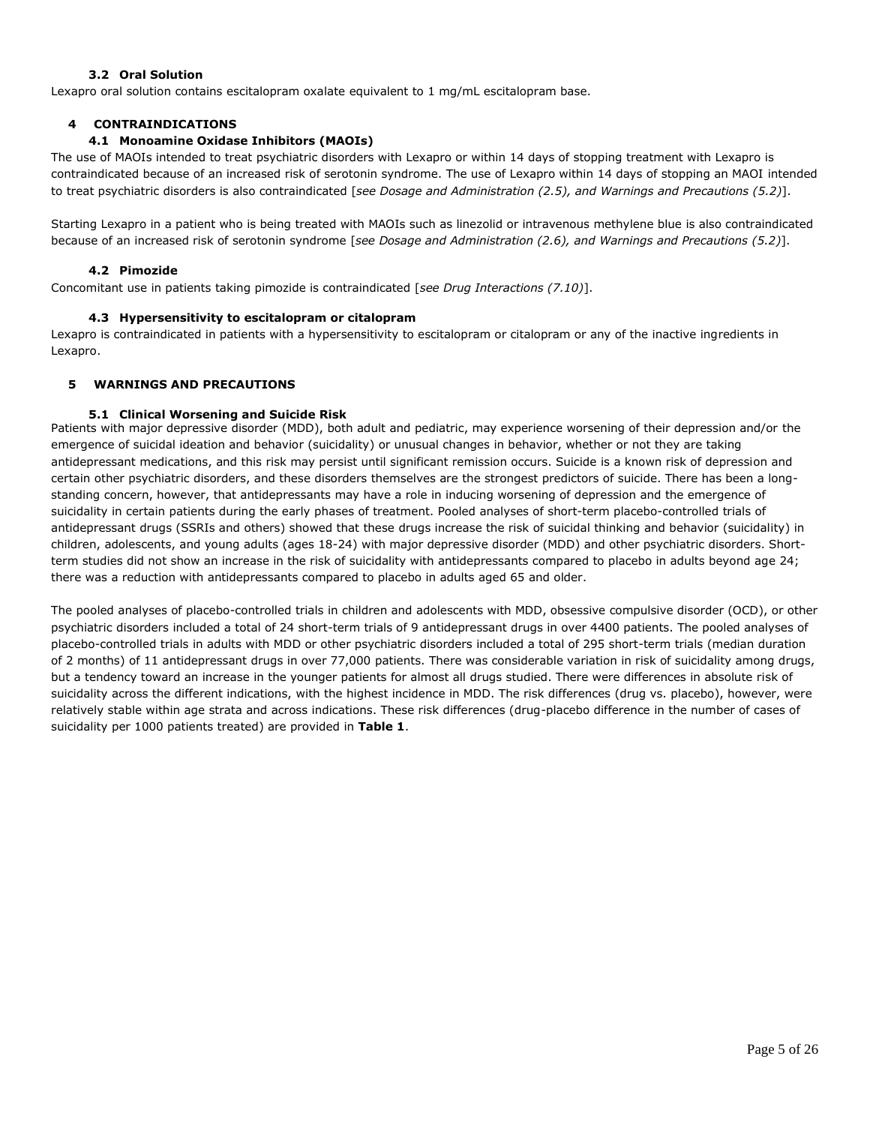# **3.2 Oral Solution**

Lexapro oral solution contains escitalopram oxalate equivalent to 1 mg/mL escitalopram base.

# **4 CONTRAINDICATIONS**

# **4.1 Monoamine Oxidase Inhibitors (MAOIs)**

The use of MAOIs intended to treat psychiatric disorders with Lexapro or within 14 days of stopping treatment with Lexapro is contraindicated because of an increased risk of serotonin syndrome. The use of Lexapro within 14 days of stopping an MAOI intended to treat psychiatric disorders is also contraindicated [*see Dosage and Administration (2.5), and Warnings and Precautions (5.2)*].

Starting Lexapro in a patient who is being treated with MAOIs such as linezolid or intravenous methylene blue is also contraindicated because of an increased risk of serotonin syndrome [*see Dosage and Administration (2.6), and Warnings and Precautions (5.2)*].

# **4.2 Pimozide**

Concomitant use in patients taking pimozide is contraindicated [*see Drug Interactions (7.10)*].

# **4.3 Hypersensitivity to escitalopram or citalopram**

Lexapro is contraindicated in patients with a hypersensitivity to escitalopram or citalopram or any of the inactive ingredients in Lexapro.

# **5 WARNINGS AND PRECAUTIONS**

# **5.1 Clinical Worsening and Suicide Risk**

Patients with major depressive disorder (MDD), both adult and pediatric, may experience worsening of their depression and/or the emergence of suicidal ideation and behavior (suicidality) or unusual changes in behavior, whether or not they are taking antidepressant medications, and this risk may persist until significant remission occurs. Suicide is a known risk of depression and certain other psychiatric disorders, and these disorders themselves are the strongest predictors of suicide. There has been a longstanding concern, however, that antidepressants may have a role in inducing worsening of depression and the emergence of suicidality in certain patients during the early phases of treatment. Pooled analyses of short-term placebo-controlled trials of antidepressant drugs (SSRIs and others) showed that these drugs increase the risk of suicidal thinking and behavior (suicidality) in children, adolescents, and young adults (ages 18-24) with major depressive disorder (MDD) and other psychiatric disorders. Shortterm studies did not show an increase in the risk of suicidality with antidepressants compared to placebo in adults beyond age 24; there was a reduction with antidepressants compared to placebo in adults aged 65 and older.

The pooled analyses of placebo-controlled trials in children and adolescents with MDD, obsessive compulsive disorder (OCD), or other psychiatric disorders included a total of 24 short-term trials of 9 antidepressant drugs in over 4400 patients. The pooled analyses of placebo-controlled trials in adults with MDD or other psychiatric disorders included a total of 295 short-term trials (median duration of 2 months) of 11 antidepressant drugs in over 77,000 patients. There was considerable variation in risk of suicidality among drugs, but a tendency toward an increase in the younger patients for almost all drugs studied. There were differences in absolute risk of suicidality across the different indications, with the highest incidence in MDD. The risk differences (drug vs. placebo), however, were relatively stable within age strata and across indications. These risk differences (drug-placebo difference in the number of cases of suicidality per 1000 patients treated) are provided in **Table 1**.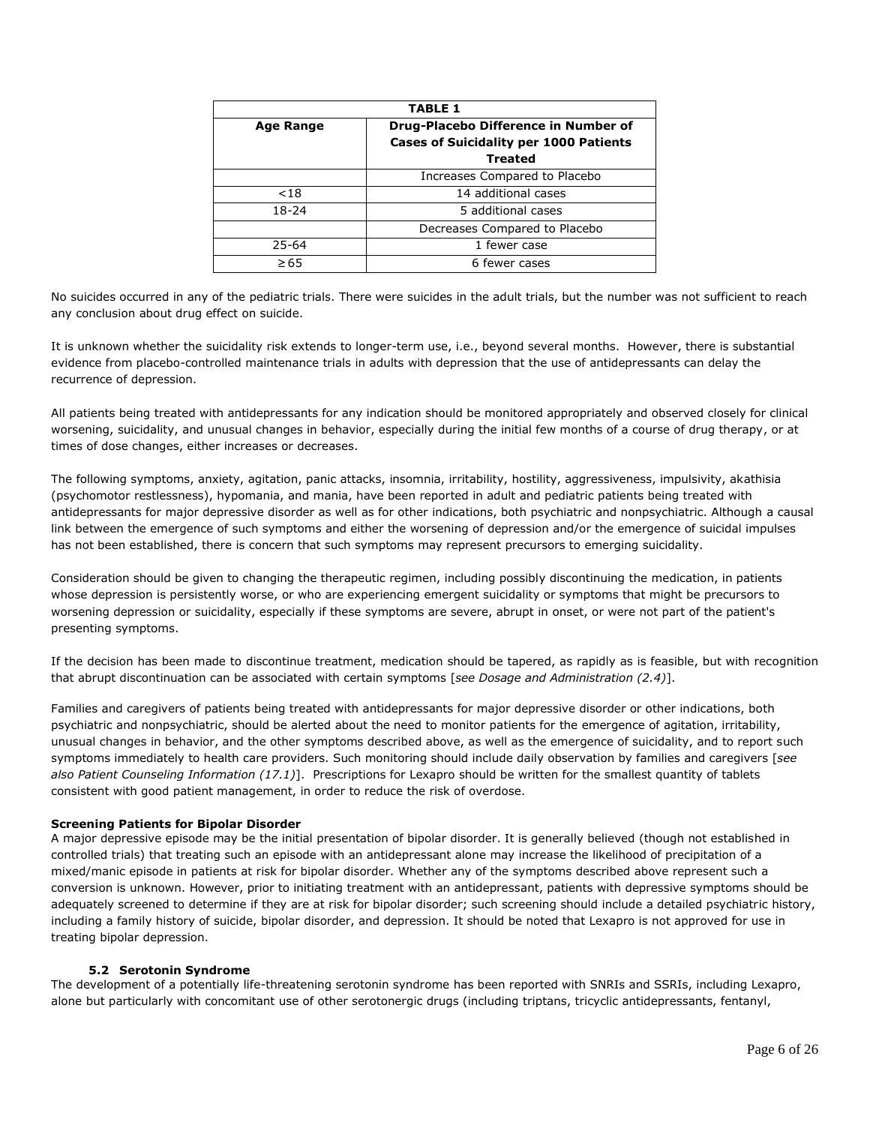| <b>TABLE 1</b>   |                                                                                                         |  |  |
|------------------|---------------------------------------------------------------------------------------------------------|--|--|
| <b>Age Range</b> | Drug-Placebo Difference in Number of<br><b>Cases of Suicidality per 1000 Patients</b><br><b>Treated</b> |  |  |
|                  | Increases Compared to Placebo                                                                           |  |  |
| $<$ 18           | 14 additional cases                                                                                     |  |  |
| $18 - 24$        | 5 additional cases                                                                                      |  |  |
|                  | Decreases Compared to Placebo                                                                           |  |  |
| $25 - 64$        | 1 fewer case                                                                                            |  |  |
| $\geq 65$        | 6 fewer cases                                                                                           |  |  |

No suicides occurred in any of the pediatric trials. There were suicides in the adult trials, but the number was not sufficient to reach any conclusion about drug effect on suicide.

It is unknown whether the suicidality risk extends to longer-term use, i.e., beyond several months. However, there is substantial evidence from placebo-controlled maintenance trials in adults with depression that the use of antidepressants can delay the recurrence of depression.

All patients being treated with antidepressants for any indication should be monitored appropriately and observed closely for clinical worsening, suicidality, and unusual changes in behavior, especially during the initial few months of a course of drug therapy, or at times of dose changes, either increases or decreases.

The following symptoms, anxiety, agitation, panic attacks, insomnia, irritability, hostility, aggressiveness, impulsivity, akathisia (psychomotor restlessness), hypomania, and mania, have been reported in adult and pediatric patients being treated with antidepressants for major depressive disorder as well as for other indications, both psychiatric and nonpsychiatric. Although a causal link between the emergence of such symptoms and either the worsening of depression and/or the emergence of suicidal impulses has not been established, there is concern that such symptoms may represent precursors to emerging suicidality.

Consideration should be given to changing the therapeutic regimen, including possibly discontinuing the medication, in patients whose depression is persistently worse, or who are experiencing emergent suicidality or symptoms that might be precursors to worsening depression or suicidality, especially if these symptoms are severe, abrupt in onset, or were not part of the patient's presenting symptoms.

If the decision has been made to discontinue treatment, medication should be tapered, as rapidly as is feasible, but with recognition that abrupt discontinuation can be associated with certain symptoms [*see Dosage and Administration (2.4)*].

Families and caregivers of patients being treated with antidepressants for major depressive disorder or other indications, both psychiatric and nonpsychiatric, should be alerted about the need to monitor patients for the emergence of agitation, irritability, unusual changes in behavior, and the other symptoms described above, as well as the emergence of suicidality, and to report such symptoms immediately to health care providers. Such monitoring should include daily observation by families and caregivers [*see also Patient Counseling Information (17.1)*].Prescriptions for Lexapro should be written for the smallest quantity of tablets consistent with good patient management, in order to reduce the risk of overdose.

## **Screening Patients for Bipolar Disorder**

A major depressive episode may be the initial presentation of bipolar disorder. It is generally believed (though not established in controlled trials) that treating such an episode with an antidepressant alone may increase the likelihood of precipitation of a mixed/manic episode in patients at risk for bipolar disorder. Whether any of the symptoms described above represent such a conversion is unknown. However, prior to initiating treatment with an antidepressant, patients with depressive symptoms should be adequately screened to determine if they are at risk for bipolar disorder; such screening should include a detailed psychiatric history, including a family history of suicide, bipolar disorder, and depression. It should be noted that Lexapro is not approved for use in treating bipolar depression.

## **5.2 Serotonin Syndrome**

The development of a potentially life-threatening serotonin syndrome has been reported with SNRIs and SSRIs, including Lexapro, alone but particularly with concomitant use of other serotonergic drugs (including triptans, tricyclic antidepressants, fentanyl,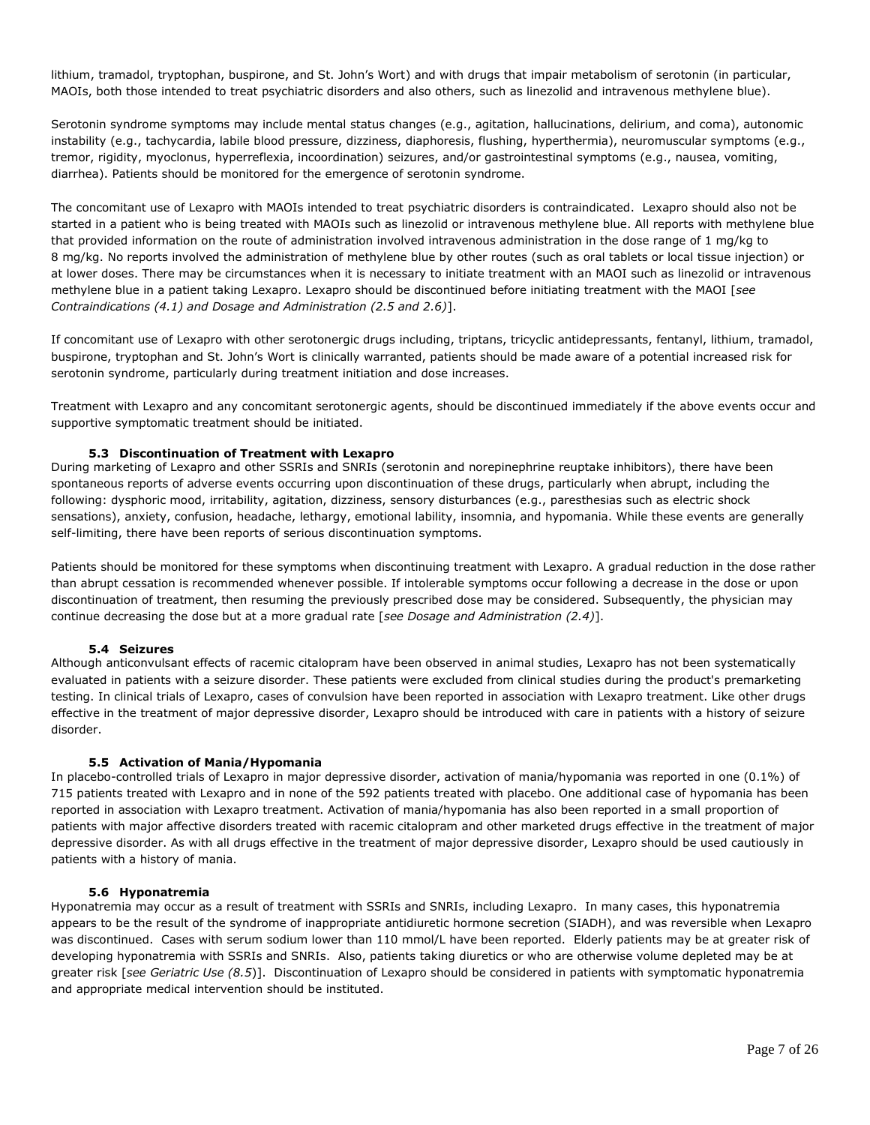lithium, tramadol, tryptophan, buspirone, and St. John's Wort) and with drugs that impair metabolism of serotonin (in particular, MAOIs, both those intended to treat psychiatric disorders and also others, such as linezolid and intravenous methylene blue).

Serotonin syndrome symptoms may include mental status changes (e.g., agitation, hallucinations, delirium, and coma), autonomic instability (e.g., tachycardia, labile blood pressure, dizziness, diaphoresis, flushing, hyperthermia), neuromuscular symptoms (e.g., tremor, rigidity, myoclonus, hyperreflexia, incoordination) seizures, and/or gastrointestinal symptoms (e.g., nausea, vomiting, diarrhea). Patients should be monitored for the emergence of serotonin syndrome.

The concomitant use of Lexapro with MAOIs intended to treat psychiatric disorders is contraindicated. Lexapro should also not be started in a patient who is being treated with MAOIs such as linezolid or intravenous methylene blue. All reports with methylene blue that provided information on the route of administration involved intravenous administration in the dose range of 1 mg/kg to 8 mg/kg. No reports involved the administration of methylene blue by other routes (such as oral tablets or local tissue injection) or at lower doses. There may be circumstances when it is necessary to initiate treatment with an MAOI such as linezolid or intravenous methylene blue in a patient taking Lexapro. Lexapro should be discontinued before initiating treatment with the MAOI [*see Contraindications (4.1) and Dosage and Administration (2.5 and 2.6)*].

If concomitant use of Lexapro with other serotonergic drugs including, triptans, tricyclic antidepressants, fentanyl, lithium, tramadol, buspirone, tryptophan and St. John's Wort is clinically warranted, patients should be made aware of a potential increased risk for serotonin syndrome, particularly during treatment initiation and dose increases.

Treatment with Lexapro and any concomitant serotonergic agents, should be discontinued immediately if the above events occur and supportive symptomatic treatment should be initiated.

# **5.3 Discontinuation of Treatment with Lexapro**

During marketing of Lexapro and other SSRIs and SNRIs (serotonin and norepinephrine reuptake inhibitors), there have been spontaneous reports of adverse events occurring upon discontinuation of these drugs, particularly when abrupt, including the following: dysphoric mood, irritability, agitation, dizziness, sensory disturbances (e.g., paresthesias such as electric shock sensations), anxiety, confusion, headache, lethargy, emotional lability, insomnia, and hypomania. While these events are generally self-limiting, there have been reports of serious discontinuation symptoms.

Patients should be monitored for these symptoms when discontinuing treatment with Lexapro. A gradual reduction in the dose rather than abrupt cessation is recommended whenever possible. If intolerable symptoms occur following a decrease in the dose or upon discontinuation of treatment, then resuming the previously prescribed dose may be considered. Subsequently, the physician may continue decreasing the dose but at a more gradual rate [*see Dosage and Administration (2.4)*].

## **5.4 Seizures**

Although anticonvulsant effects of racemic citalopram have been observed in animal studies, Lexapro has not been systematically evaluated in patients with a seizure disorder. These patients were excluded from clinical studies during the product's premarketing testing. In clinical trials of Lexapro, cases of convulsion have been reported in association with Lexapro treatment. Like other drugs effective in the treatment of major depressive disorder, Lexapro should be introduced with care in patients with a history of seizure disorder.

## **5.5 Activation of Mania/Hypomania**

In placebo-controlled trials of Lexapro in major depressive disorder, activation of mania/hypomania was reported in one (0.1%) of 715 patients treated with Lexapro and in none of the 592 patients treated with placebo. One additional case of hypomania has been reported in association with Lexapro treatment. Activation of mania/hypomania has also been reported in a small proportion of patients with major affective disorders treated with racemic citalopram and other marketed drugs effective in the treatment of major depressive disorder. As with all drugs effective in the treatment of major depressive disorder, Lexapro should be used cautiously in patients with a history of mania.

## **5.6 Hyponatremia**

Hyponatremia may occur as a result of treatment with SSRIs and SNRIs, including Lexapro. In many cases, this hyponatremia appears to be the result of the syndrome of inappropriate antidiuretic hormone secretion (SIADH), and was reversible when Lexapro was discontinued. Cases with serum sodium lower than 110 mmol/L have been reported. Elderly patients may be at greater risk of developing hyponatremia with SSRIs and SNRIs. Also, patients taking diuretics or who are otherwise volume depleted may be at greater risk [*see Geriatric Use (8.5*)]. Discontinuation of Lexapro should be considered in patients with symptomatic hyponatremia and appropriate medical intervention should be instituted.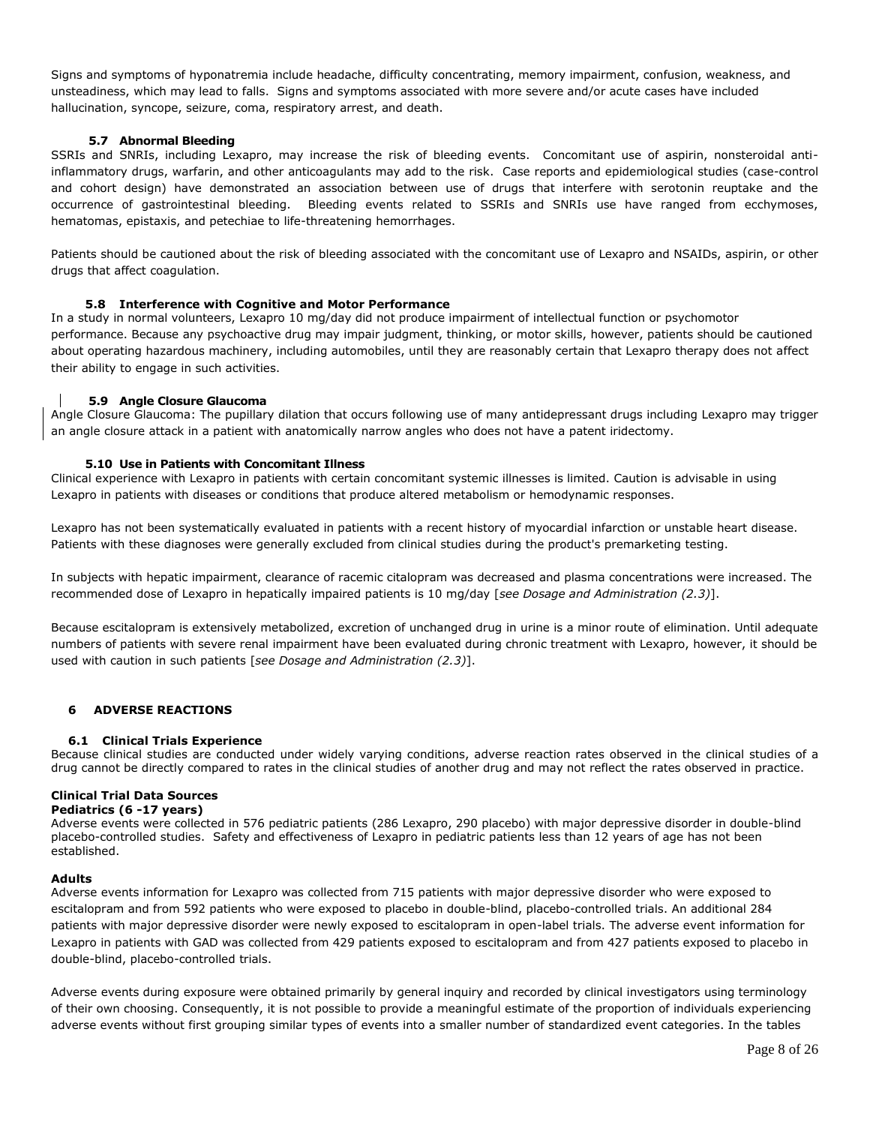Signs and symptoms of hyponatremia include headache, difficulty concentrating, memory impairment, confusion, weakness, and unsteadiness, which may lead to falls. Signs and symptoms associated with more severe and/or acute cases have included hallucination, syncope, seizure, coma, respiratory arrest, and death.

# **5.7 Abnormal Bleeding**

SSRIs and SNRIs, including Lexapro, may increase the risk of bleeding events. Concomitant use of aspirin, nonsteroidal antiinflammatory drugs, warfarin, and other anticoagulants may add to the risk. Case reports and epidemiological studies (case-control and cohort design) have demonstrated an association between use of drugs that interfere with serotonin reuptake and the occurrence of gastrointestinal bleeding. Bleeding events related to SSRIs and SNRIs use have ranged from ecchymoses, hematomas, epistaxis, and petechiae to life-threatening hemorrhages.

Patients should be cautioned about the risk of bleeding associated with the concomitant use of Lexapro and NSAIDs, aspirin, or other drugs that affect coagulation.

# **5.8 Interference with Cognitive and Motor Performance**

In a study in normal volunteers, Lexapro 10 mg/day did not produce impairment of intellectual function or psychomotor performance. Because any psychoactive drug may impair judgment, thinking, or motor skills, however, patients should be cautioned about operating hazardous machinery, including automobiles, until they are reasonably certain that Lexapro therapy does not affect their ability to engage in such activities.

# **5.9 Angle Closure Glaucoma**

Angle Closure Glaucoma: The pupillary dilation that occurs following use of many antidepressant drugs including Lexapro may trigger an angle closure attack in a patient with anatomically narrow angles who does not have a patent iridectomy.

# **5.10 Use in Patients with Concomitant Illness**

Clinical experience with Lexapro in patients with certain concomitant systemic illnesses is limited. Caution is advisable in using Lexapro in patients with diseases or conditions that produce altered metabolism or hemodynamic responses.

Lexapro has not been systematically evaluated in patients with a recent history of myocardial infarction or unstable heart disease. Patients with these diagnoses were generally excluded from clinical studies during the product's premarketing testing.

In subjects with hepatic impairment, clearance of racemic citalopram was decreased and plasma concentrations were increased. The recommended dose of Lexapro in hepatically impaired patients is 10 mg/day [*see Dosage and Administration (2.3)*].

Because escitalopram is extensively metabolized, excretion of unchanged drug in urine is a minor route of elimination. Until adequate numbers of patients with severe renal impairment have been evaluated during chronic treatment with Lexapro, however, it should be used with caution in such patients [*see Dosage and Administration (2.3)*].

# **6 ADVERSE REACTIONS**

## **6.1 Clinical Trials Experience**

Because clinical studies are conducted under widely varying conditions, adverse reaction rates observed in the clinical studies of a drug cannot be directly compared to rates in the clinical studies of another drug and may not reflect the rates observed in practice.

# **Clinical Trial Data Sources**

## **Pediatrics (6 -17 years)**

Adverse events were collected in 576 pediatric patients (286 Lexapro, 290 placebo) with major depressive disorder in double-blind placebo-controlled studies. Safety and effectiveness of Lexapro in pediatric patients less than 12 years of age has not been established.

## **Adults**

Adverse events information for Lexapro was collected from 715 patients with major depressive disorder who were exposed to escitalopram and from 592 patients who were exposed to placebo in double-blind, placebo-controlled trials. An additional 284 patients with major depressive disorder were newly exposed to escitalopram in open-label trials. The adverse event information for Lexapro in patients with GAD was collected from 429 patients exposed to escitalopram and from 427 patients exposed to placebo in double-blind, placebo-controlled trials.

Adverse events during exposure were obtained primarily by general inquiry and recorded by clinical investigators using terminology of their own choosing. Consequently, it is not possible to provide a meaningful estimate of the proportion of individuals experiencing adverse events without first grouping similar types of events into a smaller number of standardized event categories. In the tables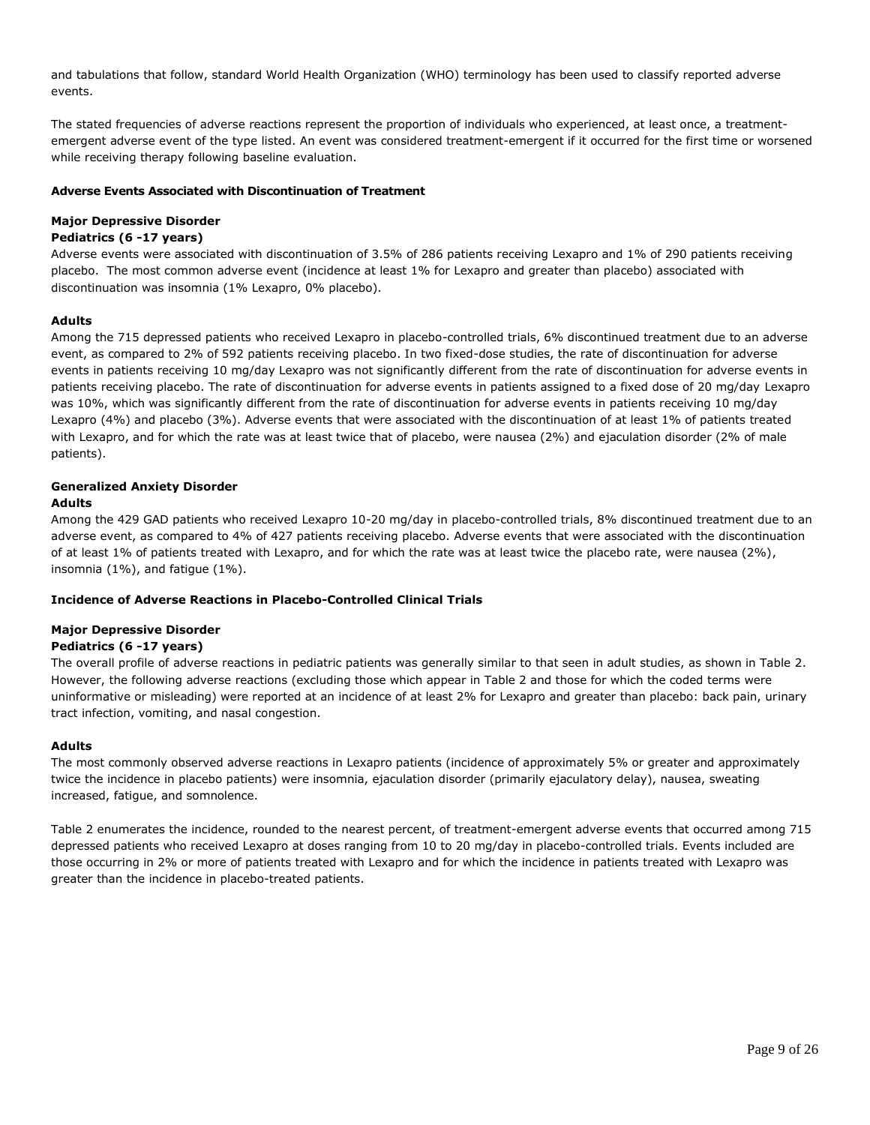and tabulations that follow, standard World Health Organization (WHO) terminology has been used to classify reported adverse events.

The stated frequencies of adverse reactions represent the proportion of individuals who experienced, at least once, a treatmentemergent adverse event of the type listed. An event was considered treatment-emergent if it occurred for the first time or worsened while receiving therapy following baseline evaluation.

## **Adverse Events Associated with Discontinuation of Treatment**

# **Major Depressive Disorder**

# **Pediatrics (6 -17 years)**

Adverse events were associated with discontinuation of 3.5% of 286 patients receiving Lexapro and 1% of 290 patients receiving placebo. The most common adverse event (incidence at least 1% for Lexapro and greater than placebo) associated with discontinuation was insomnia (1% Lexapro, 0% placebo).

# **Adults**

Among the 715 depressed patients who received Lexapro in placebo-controlled trials, 6% discontinued treatment due to an adverse event, as compared to 2% of 592 patients receiving placebo. In two fixed-dose studies, the rate of discontinuation for adverse events in patients receiving 10 mg/day Lexapro was not significantly different from the rate of discontinuation for adverse events in patients receiving placebo. The rate of discontinuation for adverse events in patients assigned to a fixed dose of 20 mg/day Lexapro was 10%, which was significantly different from the rate of discontinuation for adverse events in patients receiving 10 mg/day Lexapro (4%) and placebo (3%). Adverse events that were associated with the discontinuation of at least 1% of patients treated with Lexapro, and for which the rate was at least twice that of placebo, were nausea (2%) and ejaculation disorder (2% of male patients).

# **Generalized Anxiety Disorder**

# **Adults**

Among the 429 GAD patients who received Lexapro 10-20 mg/day in placebo-controlled trials, 8% discontinued treatment due to an adverse event, as compared to 4% of 427 patients receiving placebo. Adverse events that were associated with the discontinuation of at least 1% of patients treated with Lexapro, and for which the rate was at least twice the placebo rate, were nausea (2%), insomnia (1%), and fatigue (1%).

# **Incidence of Adverse Reactions in Placebo-Controlled Clinical Trials**

# **Major Depressive Disorder**

# **Pediatrics (6 -17 years)**

The overall profile of adverse reactions in pediatric patients was generally similar to that seen in adult studies, as shown in Table 2. However, the following adverse reactions (excluding those which appear in Table 2 and those for which the coded terms were uninformative or misleading) were reported at an incidence of at least 2% for Lexapro and greater than placebo: back pain, urinary tract infection, vomiting, and nasal congestion.

## **Adults**

The most commonly observed adverse reactions in Lexapro patients (incidence of approximately 5% or greater and approximately twice the incidence in placebo patients) were insomnia, ejaculation disorder (primarily ejaculatory delay), nausea, sweating increased, fatigue, and somnolence.

Table 2 enumerates the incidence, rounded to the nearest percent, of treatment-emergent adverse events that occurred among 715 depressed patients who received Lexapro at doses ranging from 10 to 20 mg/day in placebo-controlled trials. Events included are those occurring in 2% or more of patients treated with Lexapro and for which the incidence in patients treated with Lexapro was greater than the incidence in placebo-treated patients.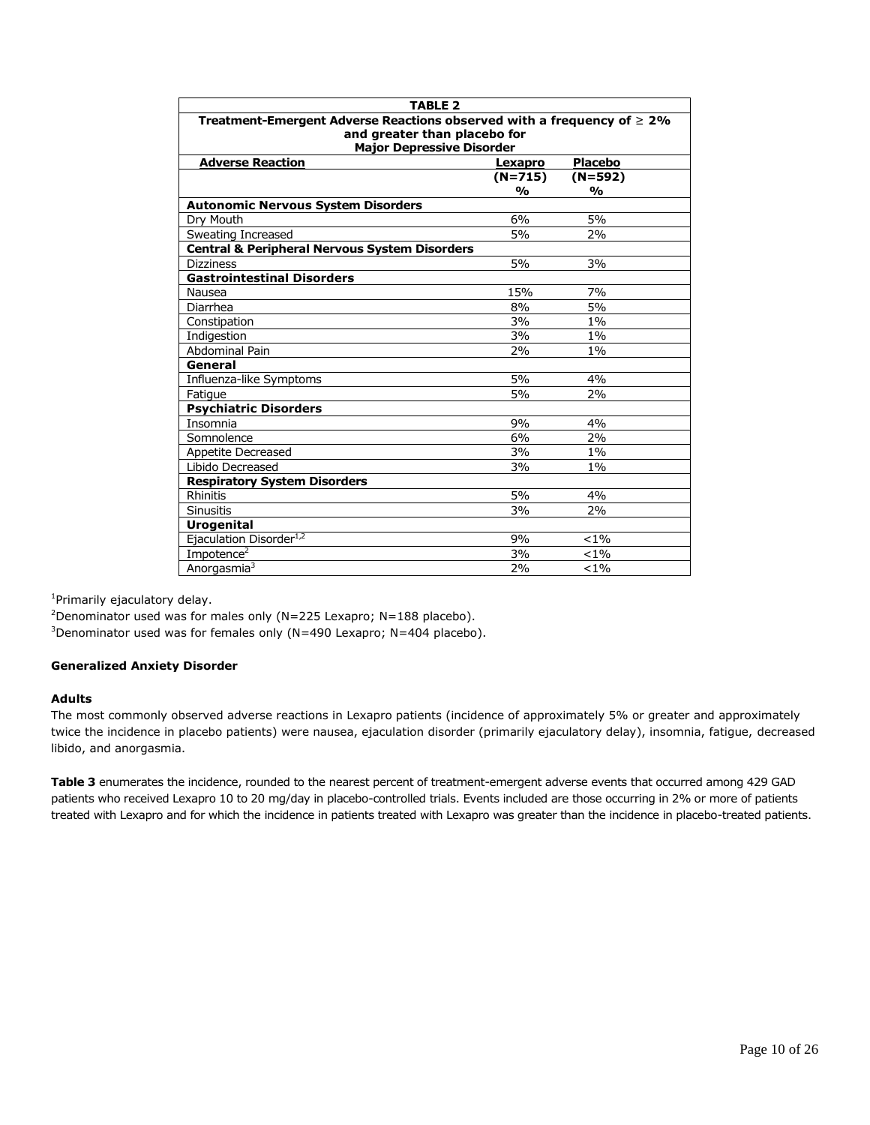| <b>TABLE 2</b>                                                                                                                                   |                            |                            |  |
|--------------------------------------------------------------------------------------------------------------------------------------------------|----------------------------|----------------------------|--|
| Treatment-Emergent Adverse Reactions observed with a frequency of $\geq 2\%$<br>and greater than placebo for<br><b>Major Depressive Disorder</b> |                            |                            |  |
| <b>Adverse Reaction</b>                                                                                                                          | Lexapro                    | <b>Placebo</b>             |  |
|                                                                                                                                                  | $(N=715)$<br>$\frac{0}{0}$ | $(N=592)$<br>$\frac{0}{0}$ |  |
| <b>Autonomic Nervous System Disorders</b>                                                                                                        |                            |                            |  |
| Drv Mouth                                                                                                                                        | 6%                         | 5%                         |  |
| Sweating Increased                                                                                                                               | 5%                         | 2%                         |  |
| <b>Central &amp; Peripheral Nervous System Disorders</b>                                                                                         |                            |                            |  |
| <b>Dizziness</b>                                                                                                                                 | 5%                         | 3%                         |  |
| <b>Gastrointestinal Disorders</b>                                                                                                                |                            |                            |  |
| Nausea                                                                                                                                           | 15%                        | 7%                         |  |
| Diarrhea                                                                                                                                         | 8%                         | 5%                         |  |
| Constipation                                                                                                                                     | 3%                         | $1\%$                      |  |
| Indigestion                                                                                                                                      | 3%                         | $1\%$                      |  |
| Abdominal Pain                                                                                                                                   | 2%                         | $1\%$                      |  |
| General                                                                                                                                          |                            |                            |  |
| Influenza-like Symptoms                                                                                                                          | 5%                         | 4%                         |  |
| Fatigue                                                                                                                                          | 5%                         | 2%                         |  |
| <b>Psychiatric Disorders</b>                                                                                                                     |                            |                            |  |
| Insomnia                                                                                                                                         | 9%                         | 4%                         |  |
| Somnolence                                                                                                                                       | 6%                         | 2%                         |  |
| Appetite Decreased                                                                                                                               | 3%                         | $1\%$                      |  |
| Libido Decreased                                                                                                                                 | 3%                         | $1\%$                      |  |
| <b>Respiratory System Disorders</b>                                                                                                              |                            |                            |  |
| <b>Rhinitis</b>                                                                                                                                  | 5%                         | 4%                         |  |
| <b>Sinusitis</b>                                                                                                                                 | 3%                         | 2%                         |  |
| <b>Urogenital</b>                                                                                                                                |                            |                            |  |
| Ejaculation Disorder <sup>1,2</sup>                                                                                                              | 9%                         | $< 1\%$                    |  |
| Impotence <sup>2</sup>                                                                                                                           | 3%                         | $< 1\%$                    |  |
| Anorgasmia <sup>3</sup>                                                                                                                          | 2%                         | $< 1\%$                    |  |

<sup>1</sup>Primarily ejaculatory delay.

<sup>2</sup>Denominator used was for males only (N=225 Lexapro; N=188 placebo). <sup>3</sup>Denominator used was for females only (N=490 Lexapro; N=404 placebo).

# **Generalized Anxiety Disorder**

# **Adults**

The most commonly observed adverse reactions in Lexapro patients (incidence of approximately 5% or greater and approximately twice the incidence in placebo patients) were nausea, ejaculation disorder (primarily ejaculatory delay), insomnia, fatigue, decreased libido, and anorgasmia.

**Table 3** enumerates the incidence, rounded to the nearest percent of treatment-emergent adverse events that occurred among 429 GAD patients who received Lexapro 10 to 20 mg/day in placebo-controlled trials. Events included are those occurring in 2% or more of patients treated with Lexapro and for which the incidence in patients treated with Lexapro was greater than the incidence in placebo-treated patients.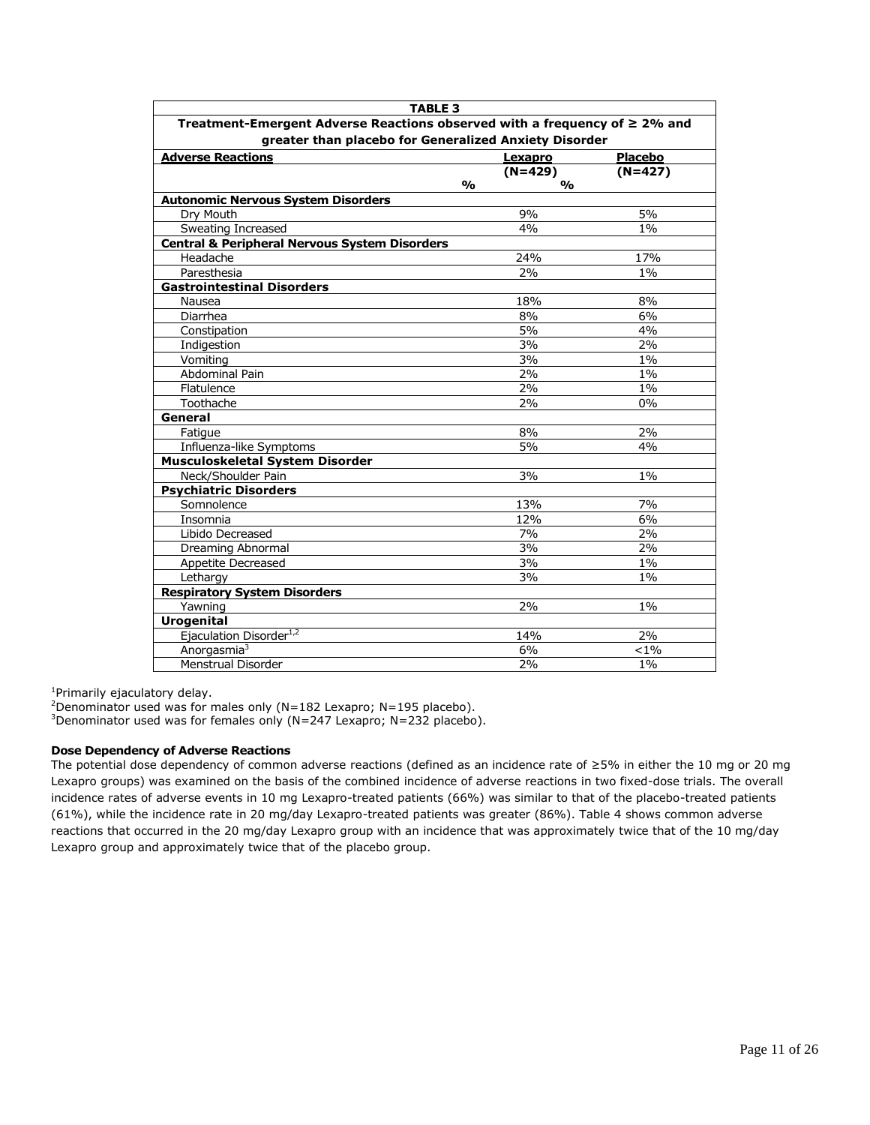| <b>TABLE 3</b>                                                                   |           |                |  |
|----------------------------------------------------------------------------------|-----------|----------------|--|
| Treatment-Emergent Adverse Reactions observed with a frequency of $\geq 2\%$ and |           |                |  |
| greater than placebo for Generalized Anxiety Disorder                            |           |                |  |
| <b>Adverse Reactions</b>                                                         | Lexapro   | <b>Placebo</b> |  |
|                                                                                  | $(N=429)$ | $(N=427)$      |  |
|                                                                                  | %         | $\frac{0}{0}$  |  |
| <b>Autonomic Nervous System Disorders</b>                                        |           |                |  |
| Drv Mouth                                                                        | 9%        | 5%             |  |
| Sweating Increased                                                               | 4%        | 1%             |  |
| <b>Central &amp; Peripheral Nervous System Disorders</b>                         |           |                |  |
| Headache                                                                         | 24%       | 17%            |  |
| Paresthesia                                                                      | 2%        | $1\%$          |  |
| <b>Gastrointestinal Disorders</b>                                                |           |                |  |
| Nausea                                                                           | 18%       | 8%             |  |
| Diarrhea                                                                         | 8%        | 6%             |  |
| Constipation                                                                     | 5%        | 4%             |  |
| Indigestion                                                                      | 3%        | 2%             |  |
| Vomiting                                                                         | 3%        | $1\%$          |  |
| Abdominal Pain                                                                   | 2%        | $1\%$          |  |
| Flatulence                                                                       | 2%        | $1\%$          |  |
| Toothache                                                                        | 2%        | 0%             |  |
| General                                                                          |           |                |  |
| Fatigue                                                                          | 8%        | 2%             |  |
| Influenza-like Symptoms                                                          | 5%        | 4%             |  |
| <b>Musculoskeletal System Disorder</b>                                           |           |                |  |
| Neck/Shoulder Pain                                                               | 3%        | $1\%$          |  |
| <b>Psychiatric Disorders</b>                                                     |           |                |  |
| Somnolence                                                                       | 13%       | 7%             |  |
| Insomnia                                                                         | 12%       | 6%             |  |
| Libido Decreased                                                                 | 7%        | 2%             |  |
| Dreaming Abnormal                                                                | 3%        | 2%             |  |
| Appetite Decreased                                                               | 3%        | 1%             |  |
| Lethargy                                                                         | 3%        | $1\%$          |  |
| <b>Respiratory System Disorders</b>                                              |           |                |  |
| Yawning                                                                          | 2%        | 1%             |  |
| <b>Urogenital</b>                                                                |           |                |  |
| Ejaculation Disorder <sup>1,2</sup>                                              | 14%       | 2%             |  |
| Anorgasmia <sup>3</sup>                                                          | 6%        | ${<}1\%$       |  |
| Menstrual Disorder                                                               | 2%        | $1\%$          |  |

<sup>1</sup>Primarily ejaculatory delay.

<sup>2</sup>Denominator used was for males only (N=182 Lexapro; N=195 placebo). <sup>3</sup>Denominator used was for females only (N=247 Lexapro; N=232 placebo).

# **Dose Dependency of Adverse Reactions**

The potential dose dependency of common adverse reactions (defined as an incidence rate of ≥5% in either the 10 mg or 20 mg Lexapro groups) was examined on the basis of the combined incidence of adverse reactions in two fixed-dose trials. The overall incidence rates of adverse events in 10 mg Lexapro-treated patients (66%) was similar to that of the placebo-treated patients (61%), while the incidence rate in 20 mg/day Lexapro-treated patients was greater (86%). Table 4 shows common adverse reactions that occurred in the 20 mg/day Lexapro group with an incidence that was approximately twice that of the 10 mg/day Lexapro group and approximately twice that of the placebo group.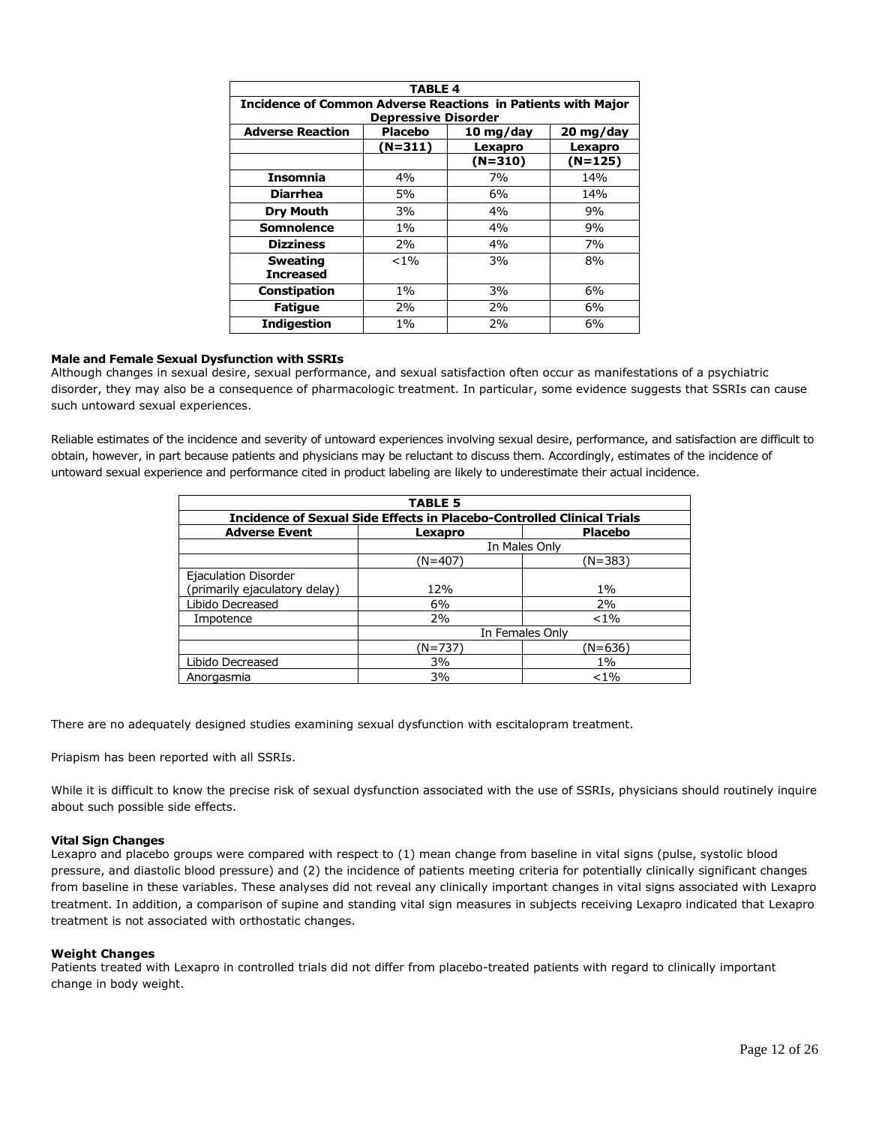| TABLE 4                                                                                           |                |           |                |
|---------------------------------------------------------------------------------------------------|----------------|-----------|----------------|
| <b>Incidence of Common Adverse Reactions in Patients with Major</b><br><b>Depressive Disorder</b> |                |           |                |
| <b>Adverse Reaction</b>                                                                           | <b>Placebo</b> | 10 mg/day | 20 mg/day      |
|                                                                                                   | (N=311)        | Lexapro   | <b>Lexapro</b> |
|                                                                                                   |                | $(N=310)$ | $(N=125)$      |
| <b>Insomnia</b>                                                                                   | 4%             | 7%        | 14%            |
| Diarrhea                                                                                          | 5%             | 6%        | 14%            |
| <b>Dry Mouth</b>                                                                                  | 3%             | 4%        | 9%             |
| <b>Somnolence</b>                                                                                 | $1\%$          | $4\%$     | 9%             |
| <b>Dizziness</b>                                                                                  | 2%             | 4%        | 7%             |
| <b>Sweating</b>                                                                                   | $< 1\%$        | 3%        | 8%             |
| <b>Increased</b>                                                                                  |                |           |                |
| <b>Constipation</b>                                                                               | $1\%$          | 3%        | 6%             |
| <b>Fatique</b>                                                                                    | 2%             | 2%        | 6%             |
| <b>Indigestion</b>                                                                                | $1\%$          | 2%        | 6%             |

# **Male and Female Sexual Dysfunction with SSRIs**

Although changes in sexual desire, sexual performance, and sexual satisfaction often occur as manifestations of a psychiatric disorder, they may also be a consequence of pharmacologic treatment. In particular, some evidence suggests that SSRIs can cause such untoward sexual experiences.

Reliable estimates of the incidence and severity of untoward experiences involving sexual desire, performance, and satisfaction are difficult to obtain, however, in part because patients and physicians may be reluctant to discuss them. Accordingly, estimates of the incidence of untoward sexual experience and performance cited in product labeling are likely to underestimate their actual incidence.

| <b>TABLE 5</b>                                                         |                 |                |  |
|------------------------------------------------------------------------|-----------------|----------------|--|
| Incidence of Sexual Side Effects in Placebo-Controlled Clinical Trials |                 |                |  |
| <b>Adverse Event</b>                                                   | Lexapro         | <b>Placebo</b> |  |
|                                                                        | In Males Only   |                |  |
|                                                                        | (N=407)         | (N=383)        |  |
| Ejaculation Disorder                                                   |                 |                |  |
| (primarily ejaculatory delay)                                          | 12%             | $1\%$          |  |
| Libido Decreased                                                       | 6%              | 2%             |  |
| Impotence                                                              | 2%              | $< 1\%$        |  |
|                                                                        | In Females Only |                |  |
|                                                                        | (N=737)         | (N=636)        |  |
| Libido Decreased                                                       | 3%              | $1\%$          |  |
| Anorgasmia                                                             | 3%              | $< 1\%$        |  |

There are no adequately designed studies examining sexual dysfunction with escitalopram treatment.

Priapism has been reported with all SSRIs.

While it is difficult to know the precise risk of sexual dysfunction associated with the use of SSRIs, physicians should routinely inquire about such possible side effects.

#### **Vital Sign Changes**

Lexapro and placebo groups were compared with respect to (1) mean change from baseline in vital signs (pulse, systolic blood pressure, and diastolic blood pressure) and (2) the incidence of patients meeting criteria for potentially clinically significant changes from baseline in these variables. These analyses did not reveal any clinically important changes in vital signs associated with Lexapro treatment. In addition, a comparison of supine and standing vital sign measures in subjects receiving Lexapro indicated that Lexapro treatment is not associated with orthostatic changes.

## **Weight Changes**

Patients treated with Lexapro in controlled trials did not differ from placebo-treated patients with regard to clinically important change in body weight.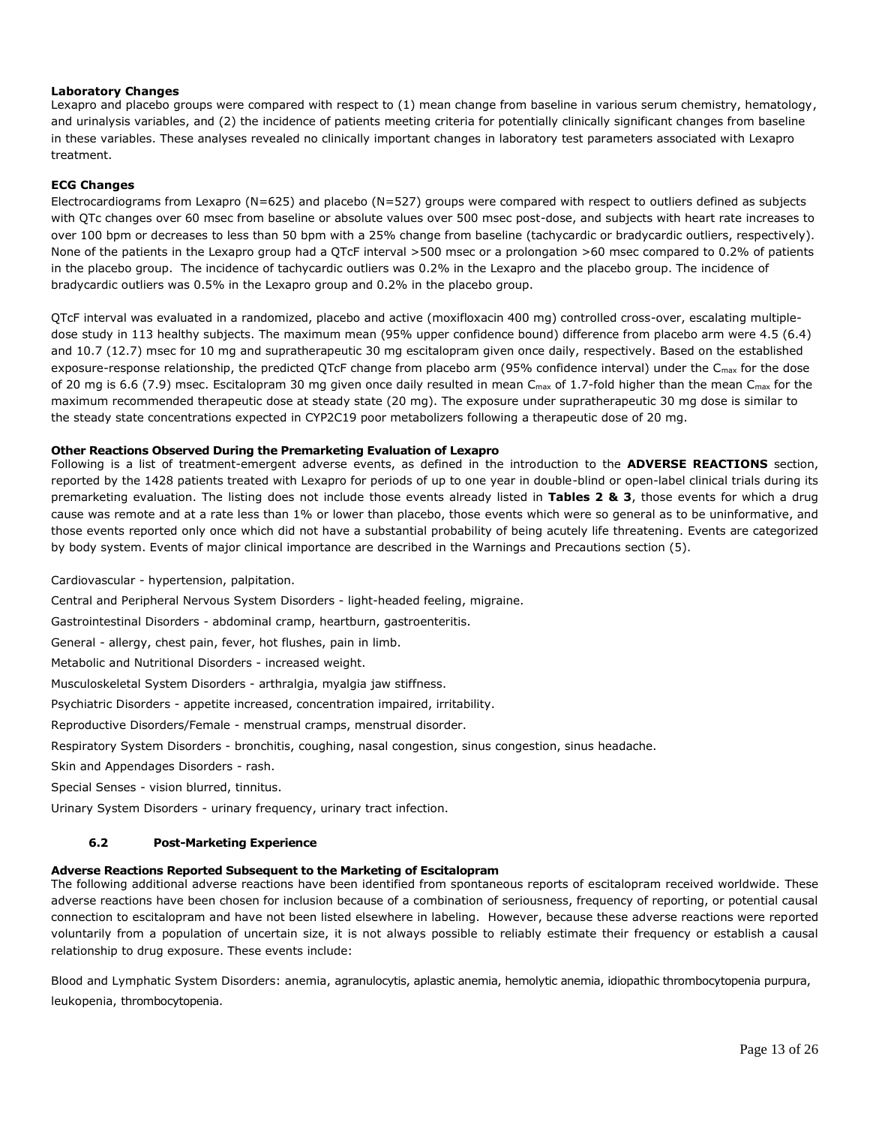# **Laboratory Changes**

Lexapro and placebo groups were compared with respect to (1) mean change from baseline in various serum chemistry, hematology, and urinalysis variables, and (2) the incidence of patients meeting criteria for potentially clinically significant changes from baseline in these variables. These analyses revealed no clinically important changes in laboratory test parameters associated with Lexapro treatment.

# **ECG Changes**

Electrocardiograms from Lexapro (N=625) and placebo (N=527) groups were compared with respect to outliers defined as subjects with QTc changes over 60 msec from baseline or absolute values over 500 msec post-dose, and subjects with heart rate increases to over 100 bpm or decreases to less than 50 bpm with a 25% change from baseline (tachycardic or bradycardic outliers, respectively). None of the patients in the Lexapro group had a QTcF interval >500 msec or a prolongation >60 msec compared to 0.2% of patients in the placebo group. The incidence of tachycardic outliers was 0.2% in the Lexapro and the placebo group. The incidence of bradycardic outliers was 0.5% in the Lexapro group and 0.2% in the placebo group.

QTcF interval was evaluated in a randomized, placebo and active (moxifloxacin 400 mg) controlled cross-over, escalating multipledose study in 113 healthy subjects. The maximum mean (95% upper confidence bound) difference from placebo arm were 4.5 (6.4) and 10.7 (12.7) msec for 10 mg and supratherapeutic 30 mg escitalopram given once daily, respectively. Based on the established exposure-response relationship, the predicted QTcF change from placebo arm (95% confidence interval) under the  $C_{\text{max}}$  for the dose of 20 mg is 6.6 (7.9) msec. Escitalopram 30 mg given once daily resulted in mean C<sub>max</sub> of 1.7-fold higher than the mean C<sub>max</sub> for the maximum recommended therapeutic dose at steady state (20 mg). The exposure under supratherapeutic 30 mg dose is similar to the steady state concentrations expected in CYP2C19 poor metabolizers following a therapeutic dose of 20 mg.

## **Other Reactions Observed During the Premarketing Evaluation of Lexapro**

Following is a list of treatment-emergent adverse events, as defined in the introduction to the **ADVERSE REACTIONS** section, reported by the 1428 patients treated with Lexapro for periods of up to one year in double-blind or open-label clinical trials during its premarketing evaluation. The listing does not include those events already listed in **Tables 2 & 3**, those events for which a drug cause was remote and at a rate less than 1% or lower than placebo, those events which were so general as to be uninformative, and those events reported only once which did not have a substantial probability of being acutely life threatening. Events are categorized by body system. Events of major clinical importance are described in the Warnings and Precautions section (5).

Cardiovascular - hypertension, palpitation.

Central and Peripheral Nervous System Disorders - light-headed feeling, migraine.

Gastrointestinal Disorders - abdominal cramp, heartburn, gastroenteritis.

General - allergy, chest pain, fever, hot flushes, pain in limb.

Metabolic and Nutritional Disorders - increased weight.

Musculoskeletal System Disorders - arthralgia, myalgia jaw stiffness.

Psychiatric Disorders - appetite increased, concentration impaired, irritability.

Reproductive Disorders/Female - menstrual cramps, menstrual disorder.

Respiratory System Disorders - bronchitis, coughing, nasal congestion, sinus congestion, sinus headache.

Skin and Appendages Disorders - rash.

Special Senses - vision blurred, tinnitus.

Urinary System Disorders - urinary frequency, urinary tract infection.

## **6.2 Post-Marketing Experience**

## **Adverse Reactions Reported Subsequent to the Marketing of Escitalopram**

The following additional adverse reactions have been identified from spontaneous reports of escitalopram received worldwide. These adverse reactions have been chosen for inclusion because of a combination of seriousness, frequency of reporting, or potential causal connection to escitalopram and have not been listed elsewhere in labeling. However, because these adverse reactions were reported voluntarily from a population of uncertain size, it is not always possible to reliably estimate their frequency or establish a causal relationship to drug exposure. These events include:

Blood and Lymphatic System Disorders: anemia, agranulocytis, aplastic anemia, hemolytic anemia, idiopathic thrombocytopenia purpura, leukopenia, thrombocytopenia.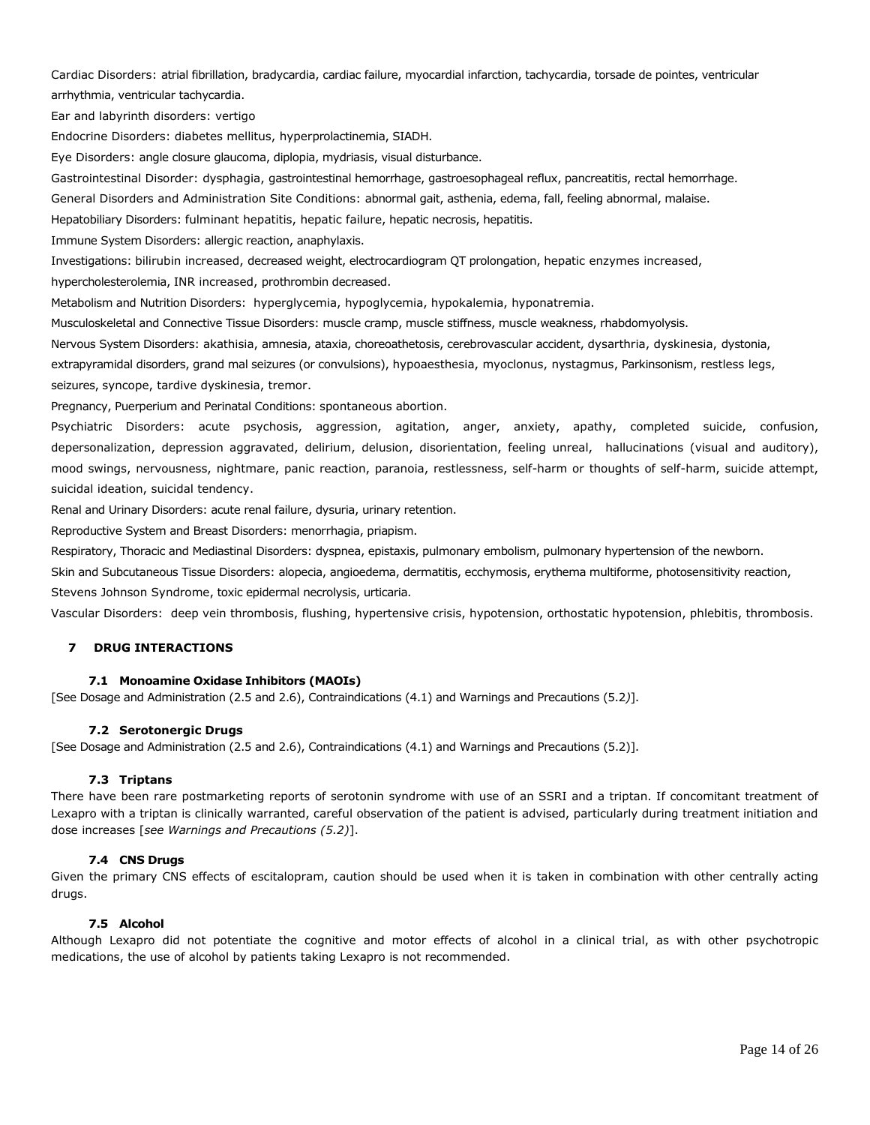Cardiac Disorders: atrial fibrillation, bradycardia, cardiac failure, myocardial infarction, tachycardia, torsade de pointes, ventricular arrhythmia, ventricular tachycardia.

Ear and labyrinth disorders: vertigo

Endocrine Disorders: diabetes mellitus, hyperprolactinemia, SIADH.

Eye Disorders: angle closure glaucoma, diplopia, mydriasis, visual disturbance.

Gastrointestinal Disorder: dysphagia, gastrointestinal hemorrhage, gastroesophageal reflux, pancreatitis, rectal hemorrhage.

General Disorders and Administration Site Conditions: abnormal gait, asthenia, edema, fall, feeling abnormal, malaise.

Hepatobiliary Disorders: fulminant hepatitis, hepatic failure, hepatic necrosis, hepatitis.

Immune System Disorders: allergic reaction, anaphylaxis.

Investigations: bilirubin increased, decreased weight, electrocardiogram QT prolongation, hepatic enzymes increased,

hypercholesterolemia, INR increased, prothrombin decreased.

Metabolism and Nutrition Disorders: hyperglycemia, hypoglycemia, hypokalemia, hyponatremia.

Musculoskeletal and Connective Tissue Disorders: muscle cramp, muscle stiffness, muscle weakness, rhabdomyolysis.

Nervous System Disorders: akathisia, amnesia, ataxia, choreoathetosis, cerebrovascular accident, dysarthria, dyskinesia, dystonia,

extrapyramidal disorders, grand mal seizures (or convulsions), hypoaesthesia, myoclonus, nystagmus, Parkinsonism, restless legs,

seizures, syncope, tardive dyskinesia, tremor.

Pregnancy, Puerperium and Perinatal Conditions: spontaneous abortion.

Psychiatric Disorders: acute psychosis, aggression, agitation, anger, anxiety, apathy, completed suicide, confusion, depersonalization, depression aggravated, delirium, delusion, disorientation, feeling unreal, hallucinations (visual and auditory), mood swings, nervousness, nightmare, panic reaction, paranoia, restlessness, self-harm or thoughts of self-harm, suicide attempt, suicidal ideation, suicidal tendency.

Renal and Urinary Disorders: acute renal failure, dysuria, urinary retention.

Reproductive System and Breast Disorders: menorrhagia, priapism.

Respiratory, Thoracic and Mediastinal Disorders: dyspnea, epistaxis, pulmonary embolism, pulmonary hypertension of the newborn.

Skin and Subcutaneous Tissue Disorders: alopecia, angioedema, dermatitis, ecchymosis, erythema multiforme, photosensitivity reaction,

Stevens Johnson Syndrome, toxic epidermal necrolysis, urticaria.

Vascular Disorders: deep vein thrombosis, flushing, hypertensive crisis, hypotension, orthostatic hypotension, phlebitis, thrombosis.

# **7 DRUG INTERACTIONS**

#### **7.1 Monoamine Oxidase Inhibitors (MAOIs)**

[See Dosage and Administration (2.5 and 2.6), Contraindications (4.1) and Warnings and Precautions (5.2*)*].

## **7.2 Serotonergic Drugs**

[See Dosage and Administration (2.5 and 2.6), Contraindications (4.1) and Warnings and Precautions (5.2)].

## **7.3 Triptans**

There have been rare postmarketing reports of serotonin syndrome with use of an SSRI and a triptan. If concomitant treatment of Lexapro with a triptan is clinically warranted, careful observation of the patient is advised, particularly during treatment initiation and dose increases [*see Warnings and Precautions (5.2)*].

# **7.4 CNS Drugs**

Given the primary CNS effects of escitalopram, caution should be used when it is taken in combination with other centrally acting drugs.

## **7.5 Alcohol**

Although Lexapro did not potentiate the cognitive and motor effects of alcohol in a clinical trial, as with other psychotropic medications, the use of alcohol by patients taking Lexapro is not recommended.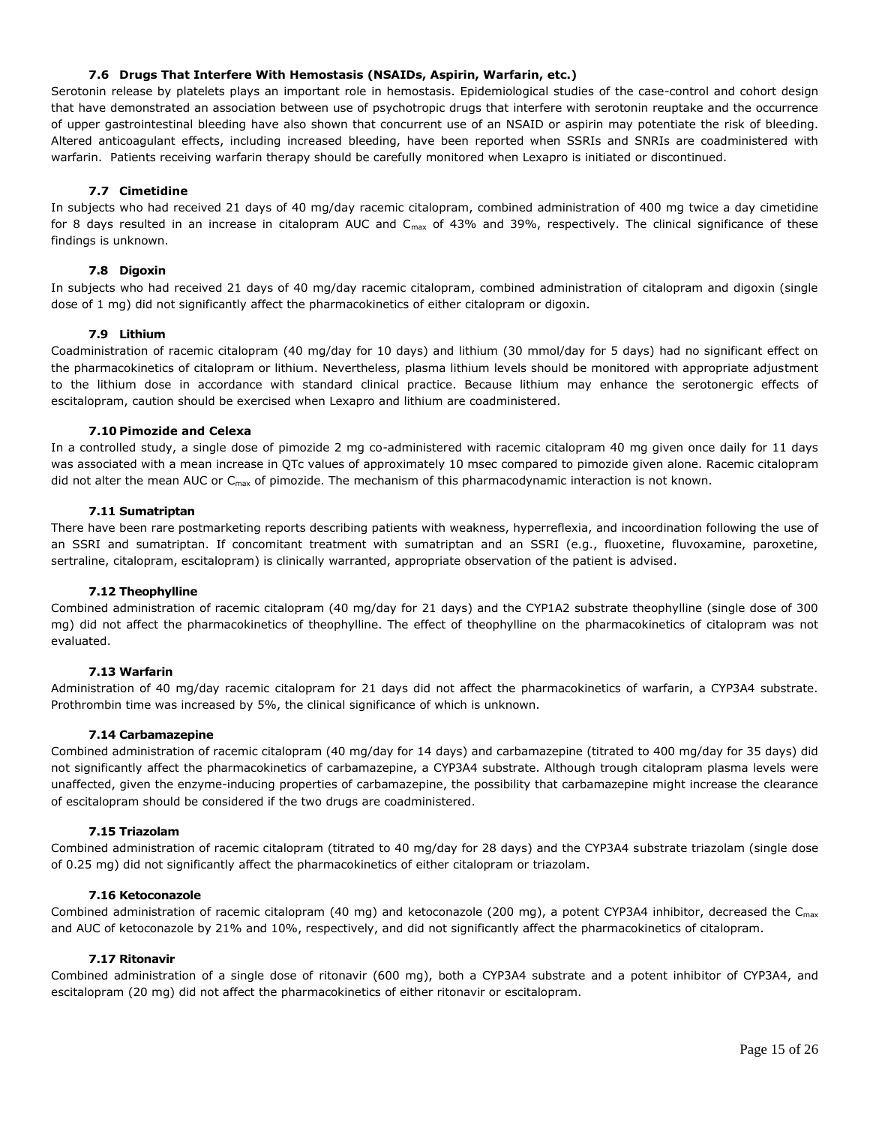# **7.6 Drugs That Interfere With Hemostasis (NSAIDs, Aspirin, Warfarin, etc.)**

Serotonin release by platelets plays an important role in hemostasis. Epidemiological studies of the case-control and cohort design that have demonstrated an association between use of psychotropic drugs that interfere with serotonin reuptake and the occurrence of upper gastrointestinal bleeding have also shown that concurrent use of an NSAID or aspirin may potentiate the risk of bleeding. Altered anticoagulant effects, including increased bleeding, have been reported when SSRIs and SNRIs are coadministered with warfarin. Patients receiving warfarin therapy should be carefully monitored when Lexapro is initiated or discontinued.

## **7.7 Cimetidine**

In subjects who had received 21 days of 40 mg/day racemic citalopram, combined administration of 400 mg twice a day cimetidine for 8 days resulted in an increase in citalopram AUC and  $C_{\text{max}}$  of 43% and 39%, respectively. The clinical significance of these findings is unknown.

## **7.8 Digoxin**

In subjects who had received 21 days of 40 mg/day racemic citalopram, combined administration of citalopram and digoxin (single dose of 1 mg) did not significantly affect the pharmacokinetics of either citalopram or digoxin.

## **7.9 Lithium**

Coadministration of racemic citalopram (40 mg/day for 10 days) and lithium (30 mmol/day for 5 days) had no significant effect on the pharmacokinetics of citalopram or lithium. Nevertheless, plasma lithium levels should be monitored with appropriate adjustment to the lithium dose in accordance with standard clinical practice. Because lithium may enhance the serotonergic effects of escitalopram, caution should be exercised when Lexapro and lithium are coadministered.

## **7.10 Pimozide and Celexa**

In a controlled study, a single dose of pimozide 2 mg co-administered with racemic citalopram 40 mg given once daily for 11 days was associated with a mean increase in QTc values of approximately 10 msec compared to pimozide given alone. Racemic citalopram did not alter the mean AUC or C<sub>max</sub> of pimozide. The mechanism of this pharmacodynamic interaction is not known.

## **7.11 Sumatriptan**

There have been rare postmarketing reports describing patients with weakness, hyperreflexia, and incoordination following the use of an SSRI and sumatriptan. If concomitant treatment with sumatriptan and an SSRI (e.g., fluoxetine, fluvoxamine, paroxetine, sertraline, citalopram, escitalopram) is clinically warranted, appropriate observation of the patient is advised.

## **7.12 Theophylline**

Combined administration of racemic citalopram (40 mg/day for 21 days) and the CYP1A2 substrate theophylline (single dose of 300 mg) did not affect the pharmacokinetics of theophylline. The effect of theophylline on the pharmacokinetics of citalopram was not evaluated.

## **7.13 Warfarin**

Administration of 40 mg/day racemic citalopram for 21 days did not affect the pharmacokinetics of warfarin, a CYP3A4 substrate. Prothrombin time was increased by 5%, the clinical significance of which is unknown.

## **7.14 Carbamazepine**

Combined administration of racemic citalopram (40 mg/day for 14 days) and carbamazepine (titrated to 400 mg/day for 35 days) did not significantly affect the pharmacokinetics of carbamazepine, a CYP3A4 substrate. Although trough citalopram plasma levels were unaffected, given the enzyme-inducing properties of carbamazepine, the possibility that carbamazepine might increase the clearance of escitalopram should be considered if the two drugs are coadministered.

## **7.15 Triazolam**

Combined administration of racemic citalopram (titrated to 40 mg/day for 28 days) and the CYP3A4 substrate triazolam (single dose of 0.25 mg) did not significantly affect the pharmacokinetics of either citalopram or triazolam.

## **7.16 Ketoconazole**

Combined administration of racemic citalopram (40 mg) and ketoconazole (200 mg), a potent CYP3A4 inhibitor, decreased the C<sub>max</sub> and AUC of ketoconazole by 21% and 10%, respectively, and did not significantly affect the pharmacokinetics of citalopram.

#### **7.17 Ritonavir**

Combined administration of a single dose of ritonavir (600 mg), both a CYP3A4 substrate and a potent inhibitor of CYP3A4, and escitalopram (20 mg) did not affect the pharmacokinetics of either ritonavir or escitalopram.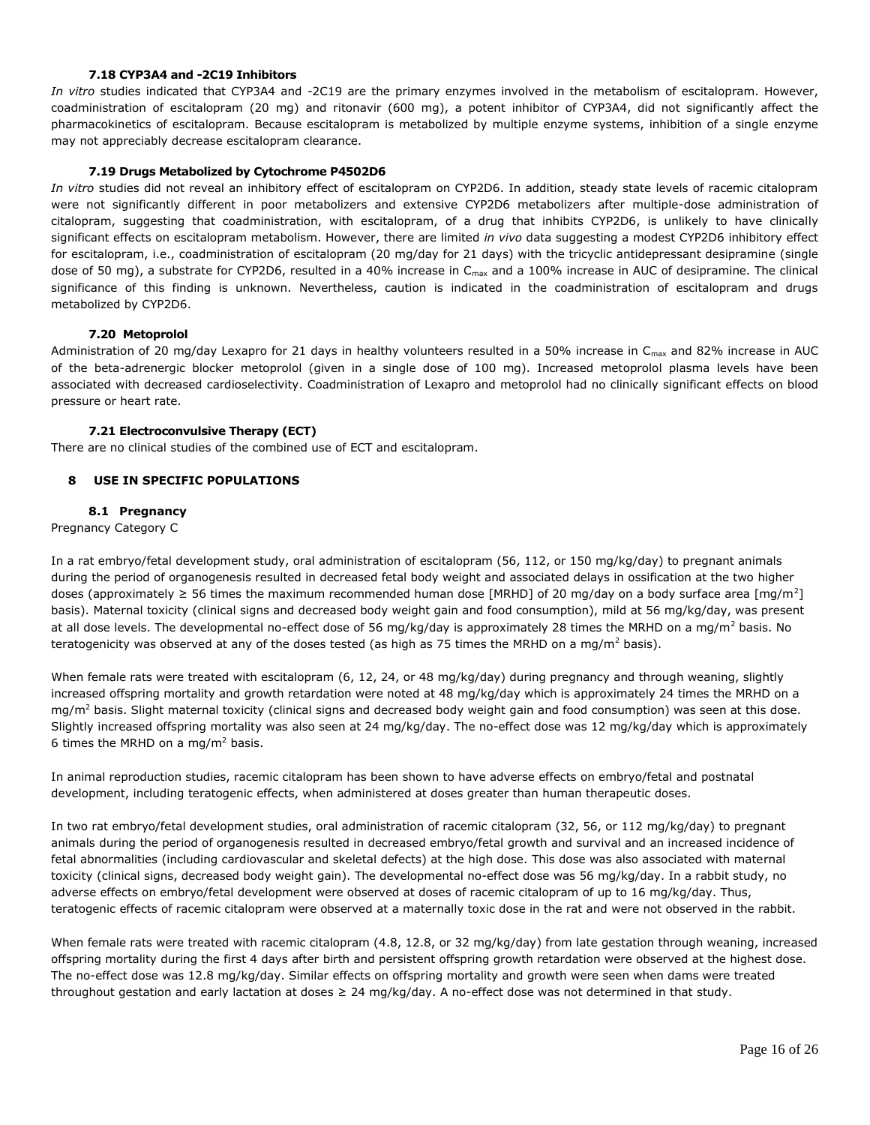## **7.18 CYP3A4 and -2C19 Inhibitors**

*In vitro* studies indicated that CYP3A4 and -2C19 are the primary enzymes involved in the metabolism of escitalopram. However, coadministration of escitalopram (20 mg) and ritonavir (600 mg), a potent inhibitor of CYP3A4, did not significantly affect the pharmacokinetics of escitalopram. Because escitalopram is metabolized by multiple enzyme systems, inhibition of a single enzyme may not appreciably decrease escitalopram clearance.

# **7.19 Drugs Metabolized by Cytochrome P4502D6**

*In vitro* studies did not reveal an inhibitory effect of escitalopram on CYP2D6. In addition, steady state levels of racemic citalopram were not significantly different in poor metabolizers and extensive CYP2D6 metabolizers after multiple-dose administration of citalopram, suggesting that coadministration, with escitalopram, of a drug that inhibits CYP2D6, is unlikely to have clinically significant effects on escitalopram metabolism. However, there are limited *in vivo* data suggesting a modest CYP2D6 inhibitory effect for escitalopram, i.e., coadministration of escitalopram (20 mg/day for 21 days) with the tricyclic antidepressant desipramine (single dose of 50 mg), a substrate for CYP2D6, resulted in a 40% increase in C<sub>max</sub> and a 100% increase in AUC of desipramine. The clinical significance of this finding is unknown. Nevertheless, caution is indicated in the coadministration of escitalopram and drugs metabolized by CYP2D6.

## **7.20 Metoprolol**

Administration of 20 mg/day Lexapro for 21 days in healthy volunteers resulted in a 50% increase in C<sub>max</sub> and 82% increase in AUC of the beta-adrenergic blocker metoprolol (given in a single dose of 100 mg). Increased metoprolol plasma levels have been associated with decreased cardioselectivity. Coadministration of Lexapro and metoprolol had no clinically significant effects on blood pressure or heart rate.

# **7.21 Electroconvulsive Therapy (ECT)**

There are no clinical studies of the combined use of ECT and escitalopram.

# **8 USE IN SPECIFIC POPULATIONS**

# **8.1 Pregnancy**

Pregnancy Category C

In a rat embryo/fetal development study, oral administration of escitalopram (56, 112, or 150 mg/kg/day) to pregnant animals during the period of organogenesis resulted in decreased fetal body weight and associated delays in ossification at the two higher doses (approximately  $\geq 56$  times the maximum recommended human dose [MRHD] of 20 mg/day on a body surface area [mg/m<sup>2</sup>] basis). Maternal toxicity (clinical signs and decreased body weight gain and food consumption), mild at 56 mg/kg/day, was present at all dose levels. The developmental no-effect dose of 56 mg/kg/day is approximately 28 times the MRHD on a mg/m<sup>2</sup> basis. No teratogenicity was observed at any of the doses tested (as high as 75 times the MRHD on a mg/m<sup>2</sup> basis).

When female rats were treated with escitalopram (6, 12, 24, or 48 mg/kg/day) during pregnancy and through weaning, slightly increased offspring mortality and growth retardation were noted at 48 mg/kg/day which is approximately 24 times the MRHD on a mg/m<sup>2</sup> basis. Slight maternal toxicity (clinical signs and decreased body weight gain and food consumption) was seen at this dose. Slightly increased offspring mortality was also seen at 24 mg/kg/day. The no-effect dose was 12 mg/kg/day which is approximately 6 times the MRHD on a mg/m<sup>2</sup> basis.

In animal reproduction studies, racemic citalopram has been shown to have adverse effects on embryo/fetal and postnatal development, including teratogenic effects, when administered at doses greater than human therapeutic doses.

In two rat embryo/fetal development studies, oral administration of racemic citalopram (32, 56, or 112 mg/kg/day) to pregnant animals during the period of organogenesis resulted in decreased embryo/fetal growth and survival and an increased incidence of fetal abnormalities (including cardiovascular and skeletal defects) at the high dose. This dose was also associated with maternal toxicity (clinical signs, decreased body weight gain). The developmental no-effect dose was 56 mg/kg/day. In a rabbit study, no adverse effects on embryo/fetal development were observed at doses of racemic citalopram of up to 16 mg/kg/day. Thus, teratogenic effects of racemic citalopram were observed at a maternally toxic dose in the rat and were not observed in the rabbit.

When female rats were treated with racemic citalopram (4.8, 12.8, or 32 mg/kg/day) from late gestation through weaning, increased offspring mortality during the first 4 days after birth and persistent offspring growth retardation were observed at the highest dose. The no-effect dose was 12.8 mg/kg/day. Similar effects on offspring mortality and growth were seen when dams were treated throughout gestation and early lactation at doses ≥ 24 mg/kg/day. A no-effect dose was not determined in that study.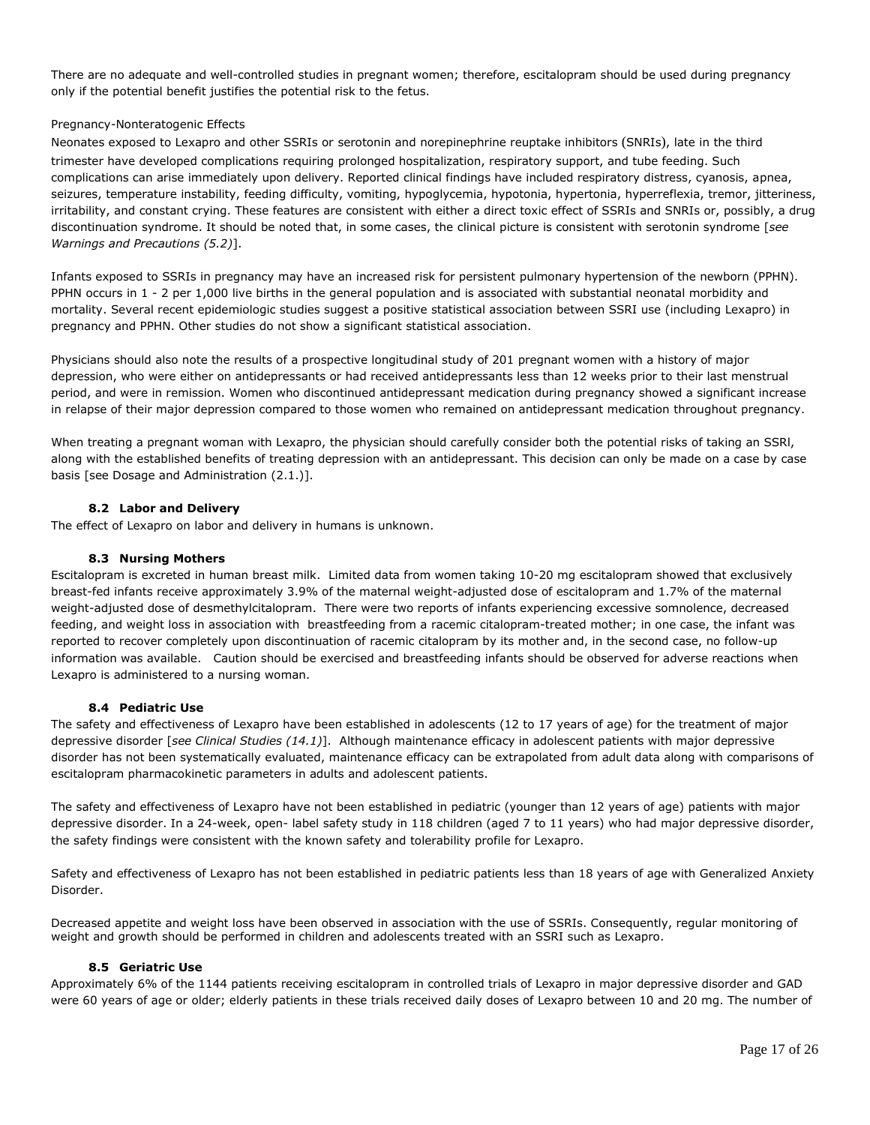There are no adequate and well-controlled studies in pregnant women; therefore, escitalopram should be used during pregnancy only if the potential benefit justifies the potential risk to the fetus.

# Pregnancy-Nonteratogenic Effects

Neonates exposed to Lexapro and other SSRIs or serotonin and norepinephrine reuptake inhibitors (SNRIs), late in the third trimester have developed complications requiring prolonged hospitalization, respiratory support, and tube feeding. Such complications can arise immediately upon delivery. Reported clinical findings have included respiratory distress, cyanosis, apnea, seizures, temperature instability, feeding difficulty, vomiting, hypoglycemia, hypotonia, hypertonia, hyperreflexia, tremor, jitteriness, irritability, and constant crying. These features are consistent with either a direct toxic effect of SSRIs and SNRIs or, possibly, a drug discontinuation syndrome. It should be noted that, in some cases, the clinical picture is consistent with serotonin syndrome [*see Warnings and Precautions (5.2)*].

Infants exposed to SSRIs in pregnancy may have an increased risk for persistent pulmonary hypertension of the newborn (PPHN). PPHN occurs in 1 - 2 per 1,000 live births in the general population and is associated with substantial neonatal morbidity and mortality. Several recent epidemiologic studies suggest a positive statistical association between SSRI use (including Lexapro) in pregnancy and PPHN. Other studies do not show a significant statistical association.

Physicians should also note the results of a prospective longitudinal study of 201 pregnant women with a history of major depression, who were either on antidepressants or had received antidepressants less than 12 weeks prior to their last menstrual period, and were in remission. Women who discontinued antidepressant medication during pregnancy showed a significant increase in relapse of their major depression compared to those women who remained on antidepressant medication throughout pregnancy.

When treating a pregnant woman with Lexapro, the physician should carefully consider both the potential risks of taking an SSRl, along with the established benefits of treating depression with an antidepressant. This decision can only be made on a case by case basis [see Dosage and Administration (2.1.)].

# **8.2 Labor and Delivery**

The effect of Lexapro on labor and delivery in humans is unknown.

## **8.3 Nursing Mothers**

Escitalopram is excreted in human breast milk. Limited data from women taking 10-20 mg escitalopram showed that exclusively breast-fed infants receive approximately 3.9% of the maternal weight-adjusted dose of escitalopram and 1.7% of the maternal weight-adjusted dose of desmethylcitalopram. There were two reports of infants experiencing excessive somnolence, decreased feeding, and weight loss in association with breastfeeding from a racemic citalopram-treated mother; in one case, the infant was reported to recover completely upon discontinuation of racemic citalopram by its mother and, in the second case, no follow-up information was available. Caution should be exercised and breastfeeding infants should be observed for adverse reactions when Lexapro is administered to a nursing woman.

## **8.4 Pediatric Use**

The safety and effectiveness of Lexapro have been established in adolescents (12 to 17 years of age) for the treatment of major depressive disorder [*see Clinical Studies (14.1)*]. Although maintenance efficacy in adolescent patients with major depressive disorder has not been systematically evaluated, maintenance efficacy can be extrapolated from adult data along with comparisons of escitalopram pharmacokinetic parameters in adults and adolescent patients.

The safety and effectiveness of Lexapro have not been established in pediatric (younger than 12 years of age) patients with major depressive disorder. In a 24-week, open- label safety study in 118 children (aged 7 to 11 years) who had major depressive disorder, the safety findings were consistent with the known safety and tolerability profile for Lexapro.

Safety and effectiveness of Lexapro has not been established in pediatric patients less than 18 years of age with Generalized Anxiety Disorder.

Decreased appetite and weight loss have been observed in association with the use of SSRIs. Consequently, regular monitoring of weight and growth should be performed in children and adolescents treated with an SSRI such as Lexapro.

## **8.5 Geriatric Use**

Approximately 6% of the 1144 patients receiving escitalopram in controlled trials of Lexapro in major depressive disorder and GAD were 60 years of age or older; elderly patients in these trials received daily doses of Lexapro between 10 and 20 mg. The number of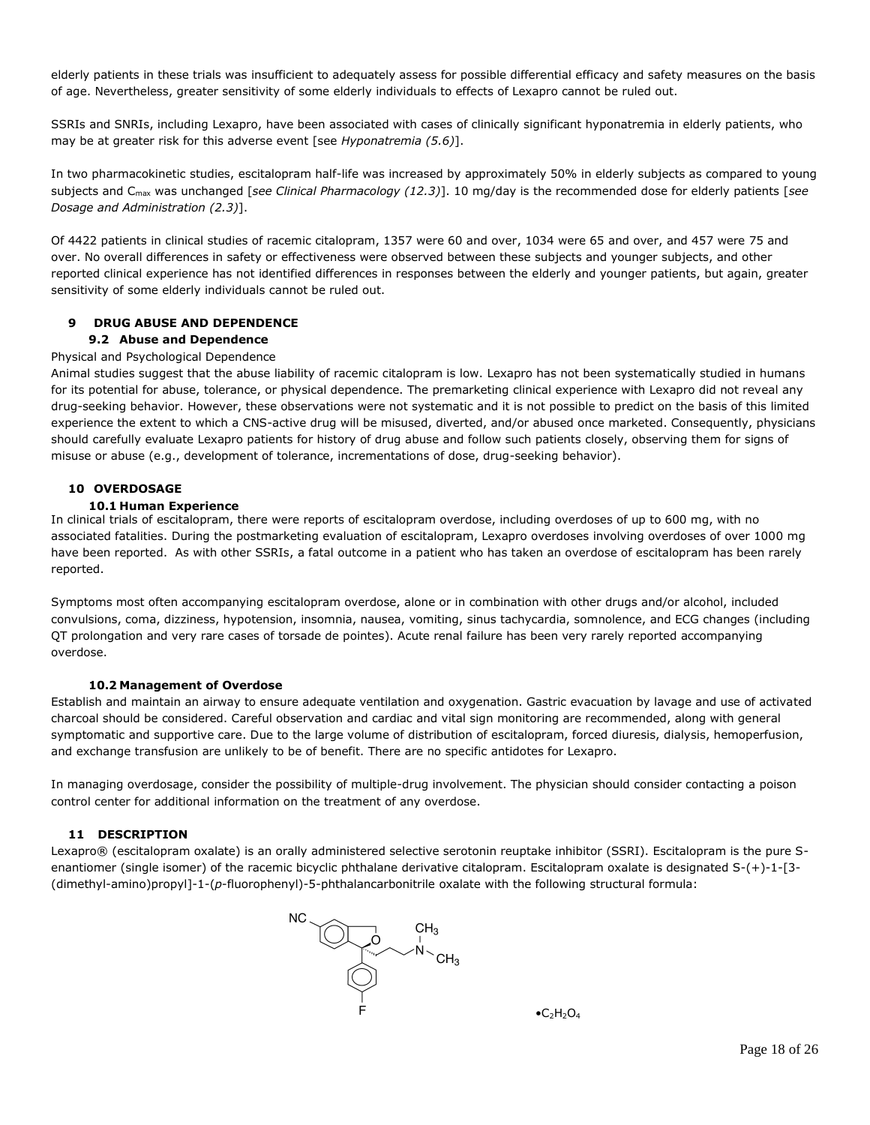elderly patients in these trials was insufficient to adequately assess for possible differential efficacy and safety measures on the basis of age. Nevertheless, greater sensitivity of some elderly individuals to effects of Lexapro cannot be ruled out.

SSRIs and SNRIs, including Lexapro, have been associated with cases of clinically significant hyponatremia in elderly patients, who may be at greater risk for this adverse event [see *Hyponatremia (5.6)*].

In two pharmacokinetic studies, escitalopram half-life was increased by approximately 50% in elderly subjects as compared to young subjects and Cmax was unchanged [*see Clinical Pharmacology (12.3)*]. 10 mg/day is the recommended dose for elderly patients [*see Dosage and Administration (2.3)*].

Of 4422 patients in clinical studies of racemic citalopram, 1357 were 60 and over, 1034 were 65 and over, and 457 were 75 and over. No overall differences in safety or effectiveness were observed between these subjects and younger subjects, and other reported clinical experience has not identified differences in responses between the elderly and younger patients, but again, greater sensitivity of some elderly individuals cannot be ruled out.

# **9 DRUG ABUSE AND DEPENDENCE**

# **9.2 Abuse and Dependence**

# Physical and Psychological Dependence

Animal studies suggest that the abuse liability of racemic citalopram is low. Lexapro has not been systematically studied in humans for its potential for abuse, tolerance, or physical dependence. The premarketing clinical experience with Lexapro did not reveal any drug-seeking behavior. However, these observations were not systematic and it is not possible to predict on the basis of this limited experience the extent to which a CNS-active drug will be misused, diverted, and/or abused once marketed. Consequently, physicians should carefully evaluate Lexapro patients for history of drug abuse and follow such patients closely, observing them for signs of misuse or abuse (e.g., development of tolerance, incrementations of dose, drug-seeking behavior).

# **10 OVERDOSAGE**

# **10.1 Human Experience**

In clinical trials of escitalopram, there were reports of escitalopram overdose, including overdoses of up to 600 mg, with no associated fatalities. During the postmarketing evaluation of escitalopram, Lexapro overdoses involving overdoses of over 1000 mg have been reported. As with other SSRIs, a fatal outcome in a patient who has taken an overdose of escitalopram has been rarely reported.

Symptoms most often accompanying escitalopram overdose, alone or in combination with other drugs and/or alcohol, included convulsions, coma, dizziness, hypotension, insomnia, nausea, vomiting, sinus tachycardia, somnolence, and ECG changes (including QT prolongation and very rare cases of torsade de pointes). Acute renal failure has been very rarely reported accompanying overdose.

## **10.2 Management of Overdose**

Establish and maintain an airway to ensure adequate ventilation and oxygenation. Gastric evacuation by lavage and use of activated charcoal should be considered. Careful observation and cardiac and vital sign monitoring are recommended, along with general symptomatic and supportive care. Due to the large volume of distribution of escitalopram, forced diuresis, dialysis, hemoperfusion, and exchange transfusion are unlikely to be of benefit. There are no specific antidotes for Lexapro.

In managing overdosage, consider the possibility of multiple-drug involvement. The physician should consider contacting a poison control center for additional information on the treatment of any overdose.

# **11 DESCRIPTION**

Lexapro® (escitalopram oxalate) is an orally administered selective serotonin reuptake inhibitor (SSRI). Escitalopram is the pure Senantiomer (single isomer) of the racemic bicyclic phthalane derivative citalopram. Escitalopram oxalate is designated S-(+)-1-[3- (dimethyl-amino)propyl]-1-(*p*-fluorophenyl)-5-phthalancarbonitrile oxalate with the following structural formula:

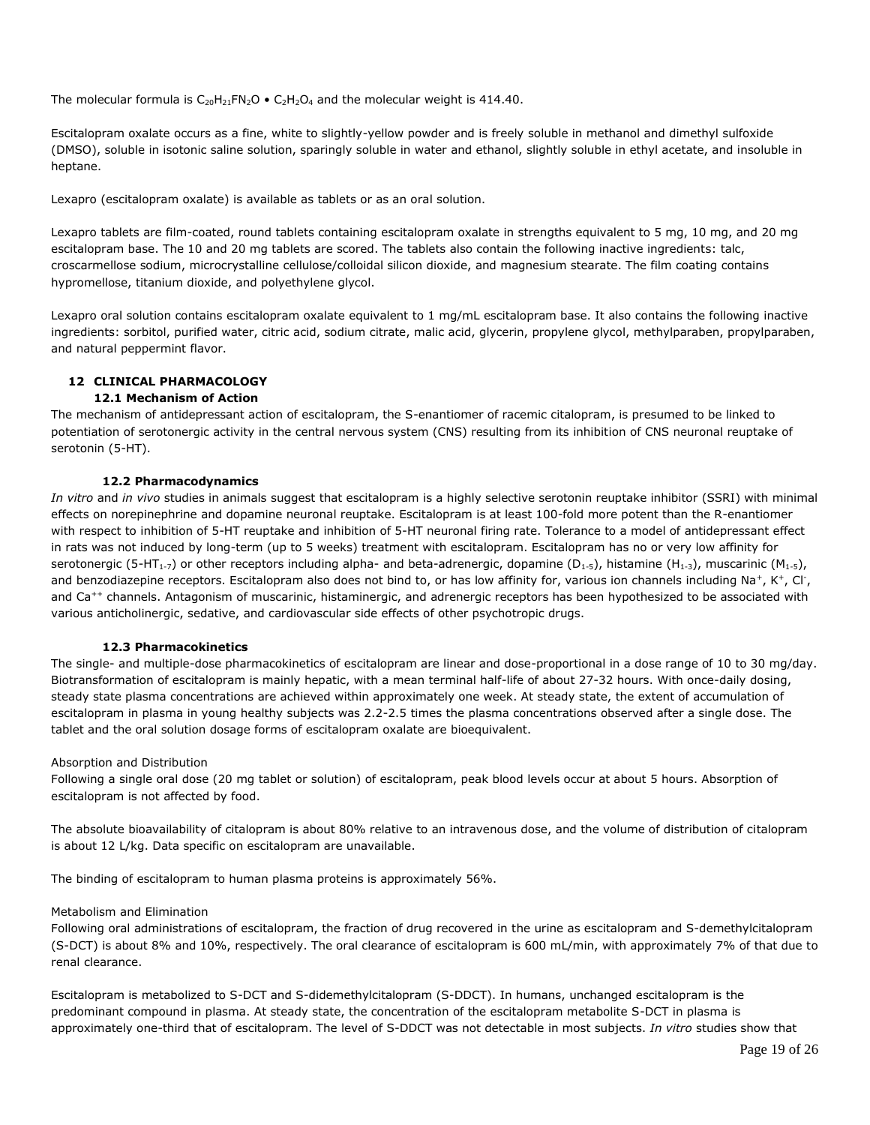The molecular formula is  $C_{20}H_{21}FN_{2}O \bullet C_{2}H_{2}O_{4}$  and the molecular weight is 414.40.

Escitalopram oxalate occurs as a fine, white to slightly-yellow powder and is freely soluble in methanol and dimethyl sulfoxide (DMSO), soluble in isotonic saline solution, sparingly soluble in water and ethanol, slightly soluble in ethyl acetate, and insoluble in heptane.

Lexapro (escitalopram oxalate) is available as tablets or as an oral solution.

Lexapro tablets are film-coated, round tablets containing escitalopram oxalate in strengths equivalent to 5 mg, 10 mg, and 20 mg escitalopram base. The 10 and 20 mg tablets are scored. The tablets also contain the following inactive ingredients: talc, croscarmellose sodium, microcrystalline cellulose/colloidal silicon dioxide, and magnesium stearate. The film coating contains hypromellose, titanium dioxide, and polyethylene glycol.

Lexapro oral solution contains escitalopram oxalate equivalent to 1 mg/mL escitalopram base. It also contains the following inactive ingredients: sorbitol, purified water, citric acid, sodium citrate, malic acid, glycerin, propylene glycol, methylparaben, propylparaben, and natural peppermint flavor.

# **12 CLINICAL PHARMACOLOGY**

# **12.1 Mechanism of Action**

The mechanism of antidepressant action of escitalopram, the S-enantiomer of racemic citalopram, is presumed to be linked to potentiation of serotonergic activity in the central nervous system (CNS) resulting from its inhibition of CNS neuronal reuptake of serotonin (5-HT).

# **12.2 Pharmacodynamics**

*In vitro* and *in vivo* studies in animals suggest that escitalopram is a highly selective serotonin reuptake inhibitor (SSRI) with minimal effects on norepinephrine and dopamine neuronal reuptake. Escitalopram is at least 100-fold more potent than the R-enantiomer with respect to inhibition of 5-HT reuptake and inhibition of 5-HT neuronal firing rate. Tolerance to a model of antidepressant effect in rats was not induced by long-term (up to 5 weeks) treatment with escitalopram. Escitalopram has no or very low affinity for serotonergic (5-HT<sub>1-7</sub>) or other receptors including alpha- and beta-adrenergic, dopamine (D<sub>1-5</sub>), histamine (H<sub>1-3</sub>), muscarinic (M<sub>1-5</sub>), and benzodiazepine receptors. Escitalopram also does not bind to, or has low affinity for, various ion channels including Na<sup>+</sup>, K<sup>+</sup>, Cl<sup>-</sup>, and Ca<sup>++</sup> channels. Antagonism of muscarinic, histaminergic, and adrenergic receptors has been hypothesized to be associated with various anticholinergic, sedative, and cardiovascular side effects of other psychotropic drugs.

# **12.3 Pharmacokinetics**

The single- and multiple-dose pharmacokinetics of escitalopram are linear and dose-proportional in a dose range of 10 to 30 mg/day. Biotransformation of escitalopram is mainly hepatic, with a mean terminal half-life of about 27-32 hours. With once-daily dosing, steady state plasma concentrations are achieved within approximately one week. At steady state, the extent of accumulation of escitalopram in plasma in young healthy subjects was 2.2-2.5 times the plasma concentrations observed after a single dose. The tablet and the oral solution dosage forms of escitalopram oxalate are bioequivalent.

## Absorption and Distribution

Following a single oral dose (20 mg tablet or solution) of escitalopram, peak blood levels occur at about 5 hours. Absorption of escitalopram is not affected by food.

The absolute bioavailability of citalopram is about 80% relative to an intravenous dose, and the volume of distribution of citalopram is about 12 L/kg. Data specific on escitalopram are unavailable.

The binding of escitalopram to human plasma proteins is approximately 56%.

## Metabolism and Elimination

Following oral administrations of escitalopram, the fraction of drug recovered in the urine as escitalopram and S-demethylcitalopram (S-DCT) is about 8% and 10%, respectively. The oral clearance of escitalopram is 600 mL/min, with approximately 7% of that due to renal clearance.

Escitalopram is metabolized to S-DCT and S-didemethylcitalopram (S-DDCT). In humans, unchanged escitalopram is the predominant compound in plasma. At steady state, the concentration of the escitalopram metabolite S-DCT in plasma is approximately one-third that of escitalopram. The level of S-DDCT was not detectable in most subjects. *In vitro* studies show that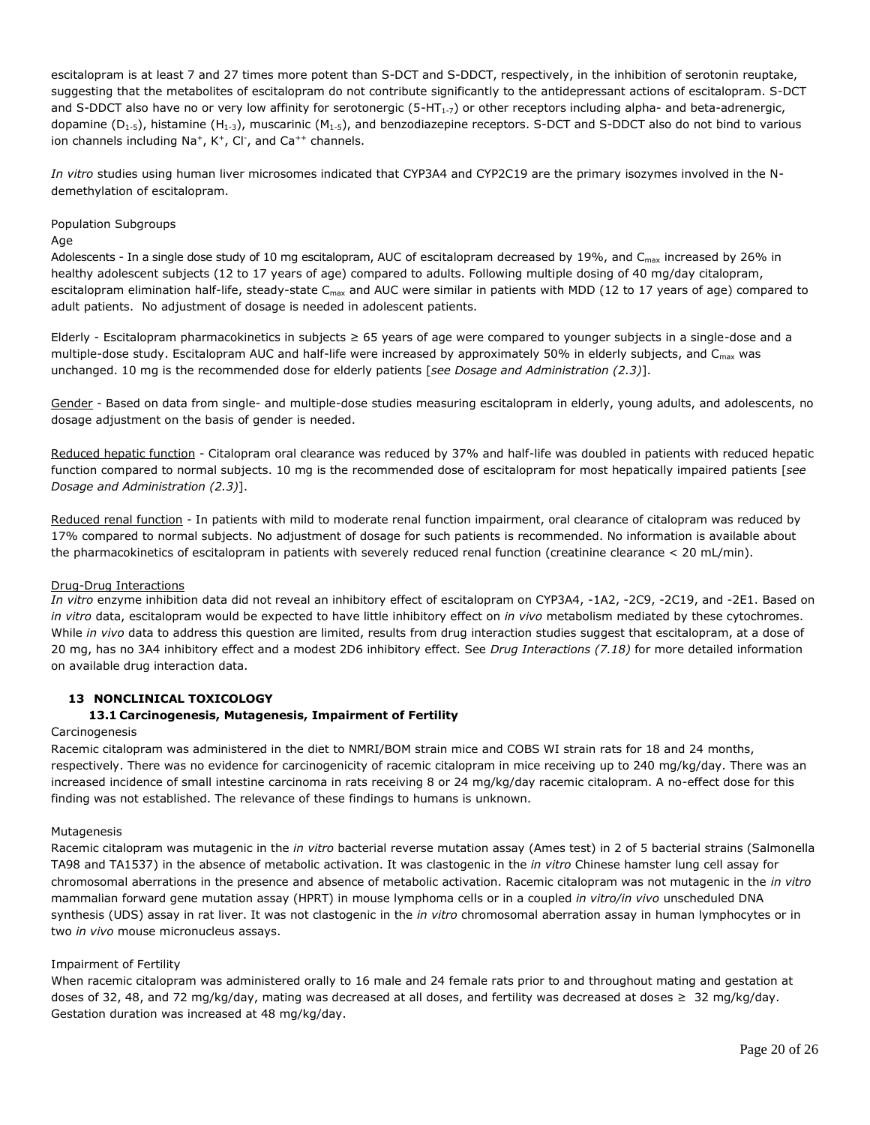escitalopram is at least 7 and 27 times more potent than S-DCT and S-DDCT, respectively, in the inhibition of serotonin reuptake, suggesting that the metabolites of escitalopram do not contribute significantly to the antidepressant actions of escitalopram. S-DCT and S-DDCT also have no or very low affinity for serotonergic ( $5-HT<sub>1-7</sub>$ ) or other receptors including alpha- and beta-adrenergic, dopamine  $(D_{1-5})$ , histamine  $(H_{1-3})$ , muscarinic  $(M_{1-5})$ , and benzodiazepine receptors. S-DCT and S-DDCT also do not bind to various ion channels including  $Na^+$ ,  $K^+$ ,  $Cl^-$ , and  $Ca^{++}$  channels.

*In vitro* studies using human liver microsomes indicated that CYP3A4 and CYP2C19 are the primary isozymes involved in the Ndemethylation of escitalopram.

# Population Subgroups

Age

Adolescents - In a single dose study of 10 mg escitalopram, AUC of escitalopram decreased by 19%, and C<sub>max</sub> increased by 26% in healthy adolescent subjects (12 to 17 years of age) compared to adults. Following multiple dosing of 40 mg/day citalopram, escitalopram elimination half-life, steady-state C<sub>max</sub> and AUC were similar in patients with MDD (12 to 17 years of age) compared to adult patients. No adjustment of dosage is needed in adolescent patients.

Elderly - Escitalopram pharmacokinetics in subjects ≥ 65 years of age were compared to younger subjects in a single-dose and a multiple-dose study. Escitalopram AUC and half-life were increased by approximately 50% in elderly subjects, and C<sub>max</sub> was unchanged. 10 mg is the recommended dose for elderly patients [*see Dosage and Administration (2.3)*].

Gender - Based on data from single- and multiple-dose studies measuring escitalopram in elderly, young adults, and adolescents, no dosage adjustment on the basis of gender is needed.

Reduced hepatic function - Citalopram oral clearance was reduced by 37% and half-life was doubled in patients with reduced hepatic function compared to normal subjects. 10 mg is the recommended dose of escitalopram for most hepatically impaired patients [*see Dosage and Administration (2.3)*].

Reduced renal function - In patients with mild to moderate renal function impairment, oral clearance of citalopram was reduced by 17% compared to normal subjects. No adjustment of dosage for such patients is recommended. No information is available about the pharmacokinetics of escitalopram in patients with severely reduced renal function (creatinine clearance < 20 mL/min).

# Drug-Drug Interactions

*In vitro* enzyme inhibition data did not reveal an inhibitory effect of escitalopram on CYP3A4, -1A2, -2C9, -2C19, and -2E1. Based on *in vitro* data, escitalopram would be expected to have little inhibitory effect on *in vivo* metabolism mediated by these cytochromes. While *in vivo* data to address this question are limited, results from drug interaction studies suggest that escitalopram, at a dose of 20 mg, has no 3A4 inhibitory effect and a modest 2D6 inhibitory effect. See *Drug Interactions (7.18)* for more detailed information on available drug interaction data.

# **13 NONCLINICAL TOXICOLOGY**

# **13.1 Carcinogenesis, Mutagenesis, Impairment of Fertility**

## Carcinogenesis

Racemic citalopram was administered in the diet to NMRI/BOM strain mice and COBS WI strain rats for 18 and 24 months, respectively. There was no evidence for carcinogenicity of racemic citalopram in mice receiving up to 240 mg/kg/day. There was an increased incidence of small intestine carcinoma in rats receiving 8 or 24 mg/kg/day racemic citalopram. A no-effect dose for this finding was not established. The relevance of these findings to humans is unknown.

## Mutagenesis

Racemic citalopram was mutagenic in the *in vitro* bacterial reverse mutation assay (Ames test) in 2 of 5 bacterial strains (Salmonella TA98 and TA1537) in the absence of metabolic activation. It was clastogenic in the *in vitro* Chinese hamster lung cell assay for chromosomal aberrations in the presence and absence of metabolic activation. Racemic citalopram was not mutagenic in the *in vitro* mammalian forward gene mutation assay (HPRT) in mouse lymphoma cells or in a coupled *in vitro/in vivo* unscheduled DNA synthesis (UDS) assay in rat liver. It was not clastogenic in the *in vitro* chromosomal aberration assay in human lymphocytes or in two *in vivo* mouse micronucleus assays.

# Impairment of Fertility

When racemic citalopram was administered orally to 16 male and 24 female rats prior to and throughout mating and gestation at doses of 32, 48, and 72 mg/kg/day, mating was decreased at all doses, and fertility was decreased at doses ≥ 32 mg/kg/day. Gestation duration was increased at 48 mg/kg/day.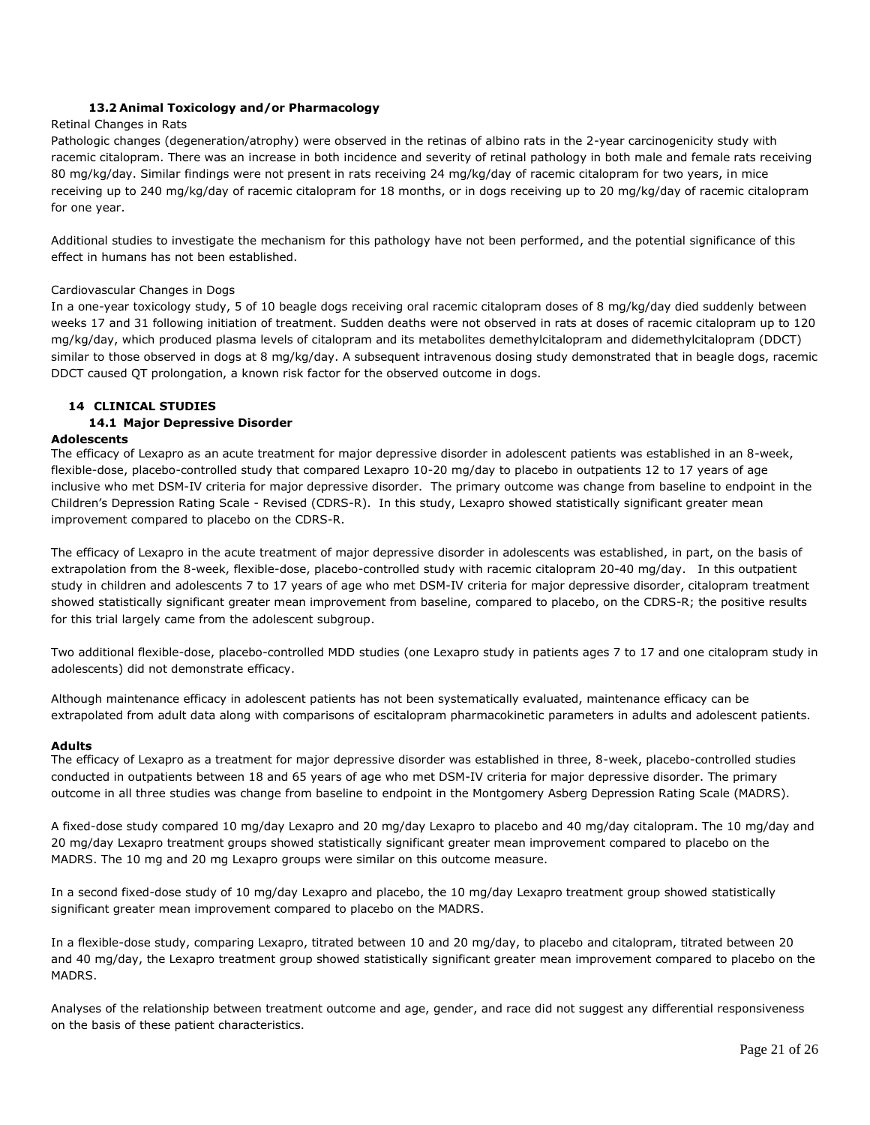# **13.2 Animal Toxicology and/or Pharmacology**

## Retinal Changes in Rats

Pathologic changes (degeneration/atrophy) were observed in the retinas of albino rats in the 2-year carcinogenicity study with racemic citalopram. There was an increase in both incidence and severity of retinal pathology in both male and female rats receiving 80 mg/kg/day. Similar findings were not present in rats receiving 24 mg/kg/day of racemic citalopram for two years, in mice receiving up to 240 mg/kg/day of racemic citalopram for 18 months, or in dogs receiving up to 20 mg/kg/day of racemic citalopram for one year.

Additional studies to investigate the mechanism for this pathology have not been performed, and the potential significance of this effect in humans has not been established.

# Cardiovascular Changes in Dogs

In a one-year toxicology study, 5 of 10 beagle dogs receiving oral racemic citalopram doses of 8 mg/kg/day died suddenly between weeks 17 and 31 following initiation of treatment. Sudden deaths were not observed in rats at doses of racemic citalopram up to 120 mg/kg/day, which produced plasma levels of citalopram and its metabolites demethylcitalopram and didemethylcitalopram (DDCT) similar to those observed in dogs at 8 mg/kg/day. A subsequent intravenous dosing study demonstrated that in beagle dogs, racemic DDCT caused QT prolongation, a known risk factor for the observed outcome in dogs.

# **14 CLINICAL STUDIES**

# **14.1 Major Depressive Disorder**

## **Adolescents**

The efficacy of Lexapro as an acute treatment for major depressive disorder in adolescent patients was established in an 8-week, flexible-dose, placebo-controlled study that compared Lexapro 10-20 mg/day to placebo in outpatients 12 to 17 years of age inclusive who met DSM-IV criteria for major depressive disorder. The primary outcome was change from baseline to endpoint in the Children's Depression Rating Scale - Revised (CDRS-R). In this study, Lexapro showed statistically significant greater mean improvement compared to placebo on the CDRS-R.

The efficacy of Lexapro in the acute treatment of major depressive disorder in adolescents was established, in part, on the basis of extrapolation from the 8-week, flexible-dose, placebo-controlled study with racemic citalopram 20-40 mg/day. In this outpatient study in children and adolescents 7 to 17 years of age who met DSM-IV criteria for major depressive disorder, citalopram treatment showed statistically significant greater mean improvement from baseline, compared to placebo, on the CDRS-R; the positive results for this trial largely came from the adolescent subgroup.

Two additional flexible-dose, placebo-controlled MDD studies (one Lexapro study in patients ages 7 to 17 and one citalopram study in adolescents) did not demonstrate efficacy.

Although maintenance efficacy in adolescent patients has not been systematically evaluated, maintenance efficacy can be extrapolated from adult data along with comparisons of escitalopram pharmacokinetic parameters in adults and adolescent patients.

## **Adults**

The efficacy of Lexapro as a treatment for major depressive disorder was established in three, 8-week, placebo-controlled studies conducted in outpatients between 18 and 65 years of age who met DSM-IV criteria for major depressive disorder. The primary outcome in all three studies was change from baseline to endpoint in the Montgomery Asberg Depression Rating Scale (MADRS).

A fixed-dose study compared 10 mg/day Lexapro and 20 mg/day Lexapro to placebo and 40 mg/day citalopram. The 10 mg/day and 20 mg/day Lexapro treatment groups showed statistically significant greater mean improvement compared to placebo on the MADRS. The 10 mg and 20 mg Lexapro groups were similar on this outcome measure.

In a second fixed-dose study of 10 mg/day Lexapro and placebo, the 10 mg/day Lexapro treatment group showed statistically significant greater mean improvement compared to placebo on the MADRS.

In a flexible-dose study, comparing Lexapro, titrated between 10 and 20 mg/day, to placebo and citalopram, titrated between 20 and 40 mg/day, the Lexapro treatment group showed statistically significant greater mean improvement compared to placebo on the MADRS.

Analyses of the relationship between treatment outcome and age, gender, and race did not suggest any differential responsiveness on the basis of these patient characteristics.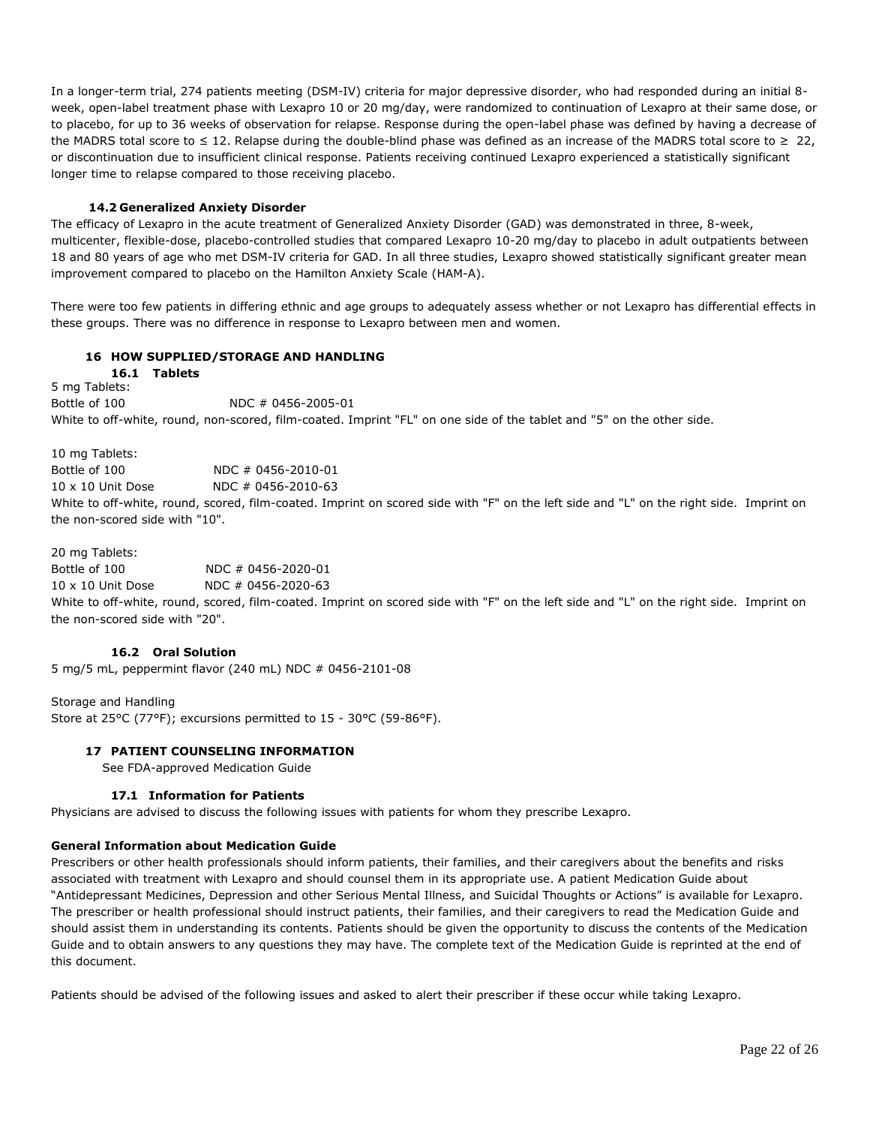In a longer-term trial, 274 patients meeting (DSM-IV) criteria for major depressive disorder, who had responded during an initial 8 week, open-label treatment phase with Lexapro 10 or 20 mg/day, were randomized to continuation of Lexapro at their same dose, or to placebo, for up to 36 weeks of observation for relapse. Response during the open-label phase was defined by having a decrease of the MADRS total score to  $\leq 12$ . Relapse during the double-blind phase was defined as an increase of the MADRS total score to  $\geq 22$ , or discontinuation due to insufficient clinical response. Patients receiving continued Lexapro experienced a statistically significant longer time to relapse compared to those receiving placebo.

# **14.2 Generalized Anxiety Disorder**

The efficacy of Lexapro in the acute treatment of Generalized Anxiety Disorder (GAD) was demonstrated in three, 8-week, multicenter, flexible-dose, placebo-controlled studies that compared Lexapro 10-20 mg/day to placebo in adult outpatients between 18 and 80 years of age who met DSM-IV criteria for GAD. In all three studies, Lexapro showed statistically significant greater mean improvement compared to placebo on the Hamilton Anxiety Scale (HAM-A).

There were too few patients in differing ethnic and age groups to adequately assess whether or not Lexapro has differential effects in these groups. There was no difference in response to Lexapro between men and women.

# **16 HOW SUPPLIED/STORAGE AND HANDLING**

**16.1 Tablets**

5 mg Tablets: Bottle of 100 NDC # 0456-2005-01 White to off-white, round, non-scored, film-coated. Imprint "FL" on one side of the tablet and "5" on the other side.

10 mg Tablets: Bottle of 100 NDC # 0456-2010-01 10 x 10 Unit Dose NDC # 0456-2010-63 White to off-white, round, scored, film-coated. Imprint on scored side with "F" on the left side and "L" on the right side. Imprint on the non-scored side with "10".

20 mg Tablets: Bottle of 100 NDC # 0456-2020-01 10 x 10 Unit Dose NDC # 0456-2020-63 White to off-white, round, scored, film-coated. Imprint on scored side with "F" on the left side and "L" on the right side. Imprint on the non-scored side with "20".

## **16.2 Oral Solution**

5 mg/5 mL, peppermint flavor (240 mL) NDC # 0456-2101-08

Storage and Handling Store at 25°C (77°F); excursions permitted to 15 - 30°C (59-86°F).

## **17 PATIENT COUNSELING INFORMATION**

See FDA-approved Medication Guide

# **17.1 Information for Patients**

Physicians are advised to discuss the following issues with patients for whom they prescribe Lexapro.

## **General Information about Medication Guide**

Prescribers or other health professionals should inform patients, their families, and their caregivers about the benefits and risks associated with treatment with Lexapro and should counsel them in its appropriate use. A patient Medication Guide about "Antidepressant Medicines, Depression and other Serious Mental Illness, and Suicidal Thoughts or Actions" is available for Lexapro. The prescriber or health professional should instruct patients, their families, and their caregivers to read the Medication Guide and should assist them in understanding its contents. Patients should be given the opportunity to discuss the contents of the Medication Guide and to obtain answers to any questions they may have. The complete text of the Medication Guide is reprinted at the end of this document.

Patients should be advised of the following issues and asked to alert their prescriber if these occur while taking Lexapro.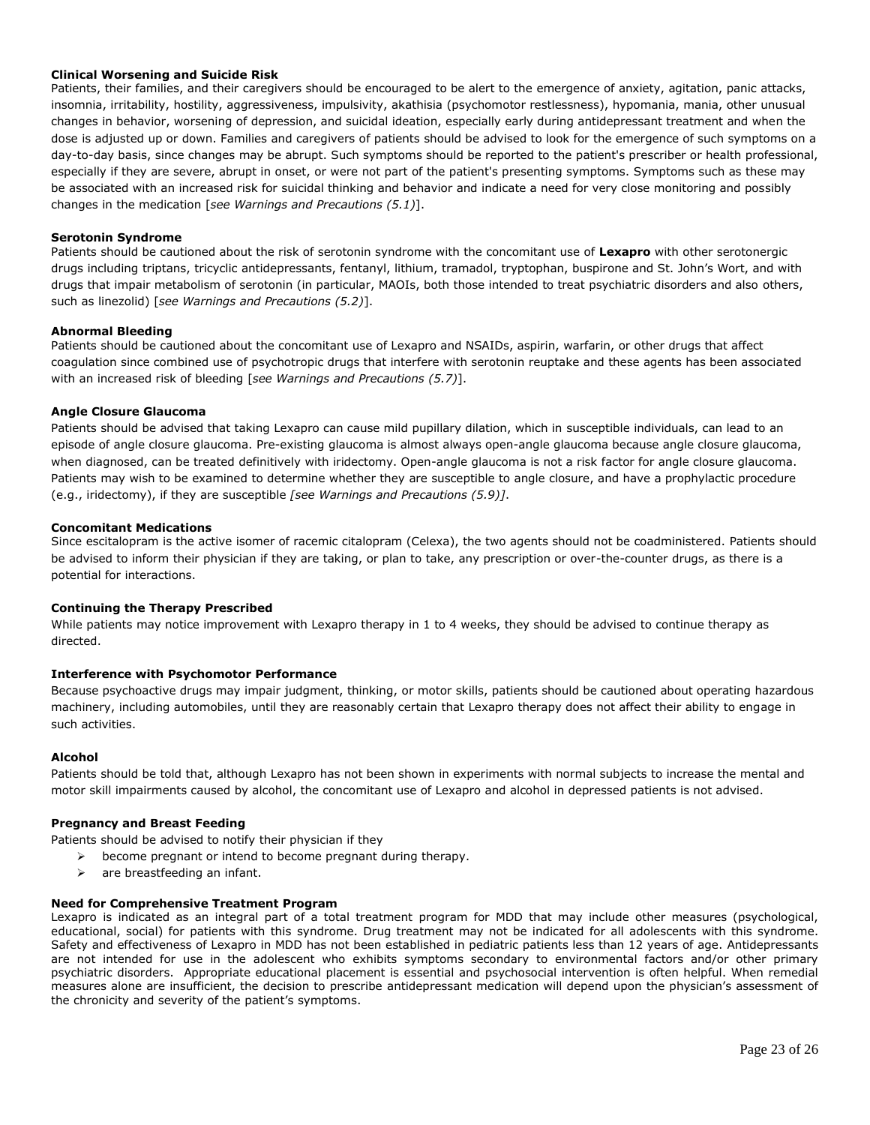## **Clinical Worsening and Suicide Risk**

Patients, their families, and their caregivers should be encouraged to be alert to the emergence of anxiety, agitation, panic attacks, insomnia, irritability, hostility, aggressiveness, impulsivity, akathisia (psychomotor restlessness), hypomania, mania, other unusual changes in behavior, worsening of depression, and suicidal ideation, especially early during antidepressant treatment and when the dose is adjusted up or down. Families and caregivers of patients should be advised to look for the emergence of such symptoms on a day-to-day basis, since changes may be abrupt. Such symptoms should be reported to the patient's prescriber or health professional, especially if they are severe, abrupt in onset, or were not part of the patient's presenting symptoms. Symptoms such as these may be associated with an increased risk for suicidal thinking and behavior and indicate a need for very close monitoring and possibly changes in the medication [*see Warnings and Precautions (5.1)*].

# **Serotonin Syndrome**

Patients should be cautioned about the risk of serotonin syndrome with the concomitant use of **Lexapro** with other serotonergic drugs including triptans, tricyclic antidepressants, fentanyl, lithium, tramadol, tryptophan, buspirone and St. John's Wort, and with drugs that impair metabolism of serotonin (in particular, MAOIs, both those intended to treat psychiatric disorders and also others, such as linezolid) [*see Warnings and Precautions (5.2)*].

## **Abnormal Bleeding**

Patients should be cautioned about the concomitant use of Lexapro and NSAIDs, aspirin, warfarin, or other drugs that affect coagulation since combined use of psychotropic drugs that interfere with serotonin reuptake and these agents has been associated with an increased risk of bleeding [*see Warnings and Precautions (5.7)*].

# **Angle Closure Glaucoma**

Patients should be advised that taking Lexapro can cause mild pupillary dilation, which in susceptible individuals, can lead to an episode of angle closure glaucoma. Pre-existing glaucoma is almost always open-angle glaucoma because angle closure glaucoma, when diagnosed, can be treated definitively with iridectomy. Open-angle glaucoma is not a risk factor for angle closure glaucoma. Patients may wish to be examined to determine whether they are susceptible to angle closure, and have a prophylactic procedure (e.g., iridectomy), if they are susceptible *[see Warnings and Precautions (5.9)]*.

# **Concomitant Medications**

Since escitalopram is the active isomer of racemic citalopram (Celexa), the two agents should not be coadministered. Patients should be advised to inform their physician if they are taking, or plan to take, any prescription or over-the-counter drugs, as there is a potential for interactions.

## **Continuing the Therapy Prescribed**

While patients may notice improvement with Lexapro therapy in 1 to 4 weeks, they should be advised to continue therapy as directed.

## **Interference with Psychomotor Performance**

Because psychoactive drugs may impair judgment, thinking, or motor skills, patients should be cautioned about operating hazardous machinery, including automobiles, until they are reasonably certain that Lexapro therapy does not affect their ability to engage in such activities.

## **Alcohol**

Patients should be told that, although Lexapro has not been shown in experiments with normal subjects to increase the mental and motor skill impairments caused by alcohol, the concomitant use of Lexapro and alcohol in depressed patients is not advised.

## **Pregnancy and Breast Feeding**

Patients should be advised to notify their physician if they

- $\triangleright$  become pregnant or intend to become pregnant during therapy.
- $\triangleright$  are breastfeeding an infant.

## **Need for Comprehensive Treatment Program**

Lexapro is indicated as an integral part of a total treatment program for MDD that may include other measures (psychological, educational, social) for patients with this syndrome. Drug treatment may not be indicated for all adolescents with this syndrome. Safety and effectiveness of Lexapro in MDD has not been established in pediatric patients less than 12 years of age. Antidepressants are not intended for use in the adolescent who exhibits symptoms secondary to environmental factors and/or other primary psychiatric disorders. Appropriate educational placement is essential and psychosocial intervention is often helpful. When remedial measures alone are insufficient, the decision to prescribe antidepressant medication will depend upon the physician's assessment of the chronicity and severity of the patient's symptoms.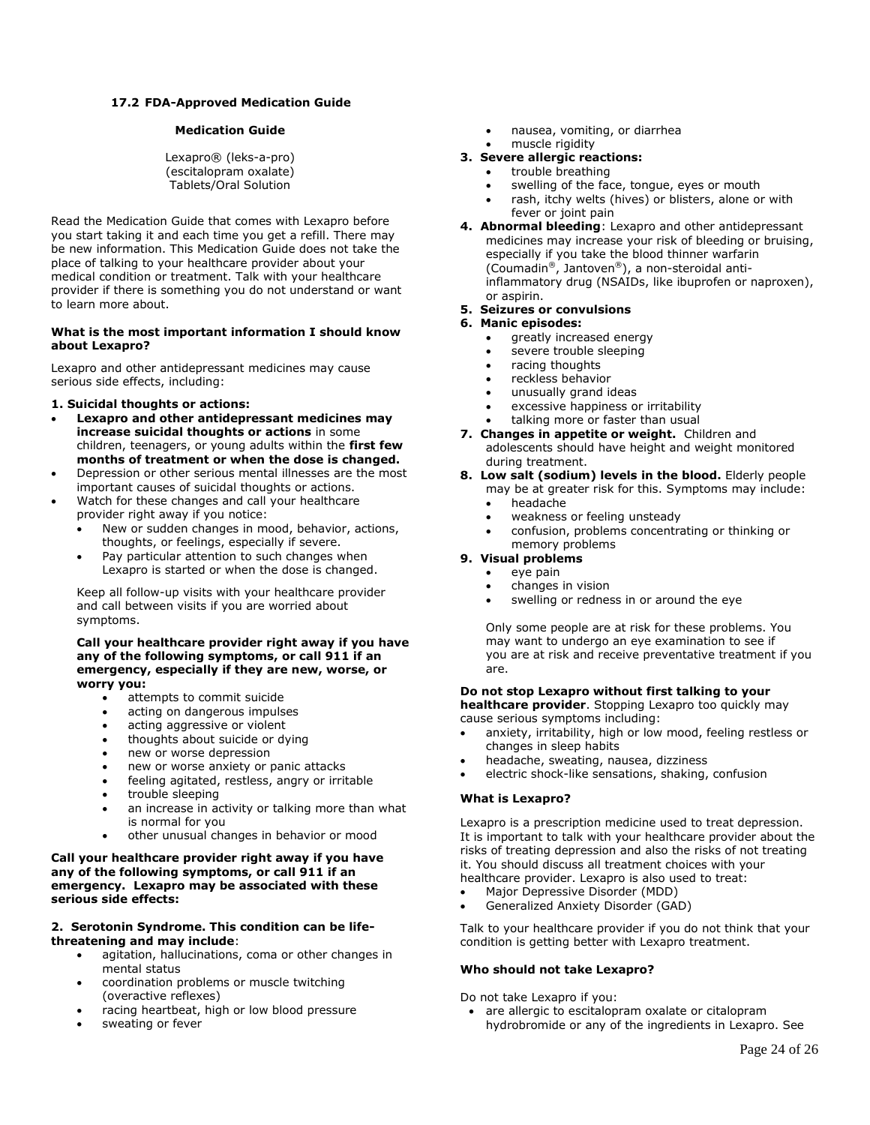# **17.2 FDA-Approved Medication Guide**

## **Medication Guide**

Lexapro® (leks-a-pro) (escitalopram oxalate) Tablets/Oral Solution

Read the Medication Guide that comes with Lexapro before you start taking it and each time you get a refill. There may be new information. This Medication Guide does not take the place of talking to your healthcare provider about your medical condition or treatment. Talk with your healthcare provider if there is something you do not understand or want to learn more about.

#### **What is the most important information I should know about Lexapro?**

Lexapro and other antidepressant medicines may cause serious side effects, including:

## **1. Suicidal thoughts or actions:**

- **Lexapro and other antidepressant medicines may increase suicidal thoughts or actions** in some children, teenagers, or young adults within the **first few months of treatment or when the dose is changed.**
- Depression or other serious mental illnesses are the most important causes of suicidal thoughts or actions.
- Watch for these changes and call your healthcare provider right away if you notice:
	- New or sudden changes in mood, behavior, actions, thoughts, or feelings, especially if severe.
	- Pay particular attention to such changes when Lexapro is started or when the dose is changed.

Keep all follow-up visits with your healthcare provider and call between visits if you are worried about symptoms.

#### **Call your healthcare provider right away if you have any of the following symptoms, or call 911 if an emergency, especially if they are new, worse, or worry you:**

- attempts to commit suicide
- acting on dangerous impulses
- acting aggressive or violent
- thoughts about suicide or dying
- new or worse depression
- new or worse anxiety or panic attacks
- feeling agitated, restless, angry or irritable
- trouble sleeping
- an increase in activity or talking more than what is normal for you
- other unusual changes in behavior or mood

## **Call your healthcare provider right away if you have any of the following symptoms, or call 911 if an emergency. Lexapro may be associated with these serious side effects:**

## **2. Serotonin Syndrome. This condition can be lifethreatening and may include**:

- agitation, hallucinations, coma or other changes in mental status
- coordination problems or muscle twitching (overactive reflexes)
- racing heartbeat, high or low blood pressure
- sweating or fever
- nausea, vomiting, or diarrhea
- muscle rigidity

# **3. Severe allergic reactions:**

- trouble breathing
- swelling of the face, tongue, eyes or mouth rash, itchy welts (hives) or blisters, alone or with fever or joint pain
- **4. Abnormal bleeding**: Lexapro and other antidepressant medicines may increase your risk of bleeding or bruising, especially if you take the blood thinner warfarin (Coumadin®, Jantoven®), a non-steroidal antiinflammatory drug (NSAIDs, like ibuprofen or naproxen), or aspirin.

# **5. Seizures or convulsions**

# **6. Manic episodes:**

- greatly increased energy
- severe trouble sleeping
- racing thoughts
- reckless behavior
- unusually grand ideas
- excessive happiness or irritability
- talking more or faster than usual
- **7. Changes in appetite or weight.** Children and adolescents should have height and weight monitored during treatment.
- **8. Low salt (sodium) levels in the blood.** Elderly people may be at greater risk for this. Symptoms may include: headache
	-
	- weakness or feeling unsteady confusion, problems concentrating or thinking or memory problems

# **9. Visual problems**

- eye pain
	- changes in vision
	- swelling or redness in or around the eye

Only some people are at risk for these problems. You may want to undergo an eye examination to see if you are at risk and receive preventative treatment if you are.

# **Do not stop Lexapro without first talking to your healthcare provider**. Stopping Lexapro too quickly may

cause serious symptoms including: anxiety, irritability, high or low mood, feeling restless or changes in sleep habits

- headache, sweating, nausea, dizziness
- electric shock-like sensations, shaking, confusion

# **What is Lexapro?**

Lexapro is a prescription medicine used to treat depression. It is important to talk with your healthcare provider about the risks of treating depression and also the risks of not treating it. You should discuss all treatment choices with your healthcare provider. Lexapro is also used to treat:

- Major Depressive Disorder (MDD)
- Generalized Anxiety Disorder (GAD)

Talk to your healthcare provider if you do not think that your condition is getting better with Lexapro treatment.

# **Who should not take Lexapro?**

Do not take Lexapro if you:

• are allergic to escitalopram oxalate or citalopram hydrobromide or any of the ingredients in Lexapro. See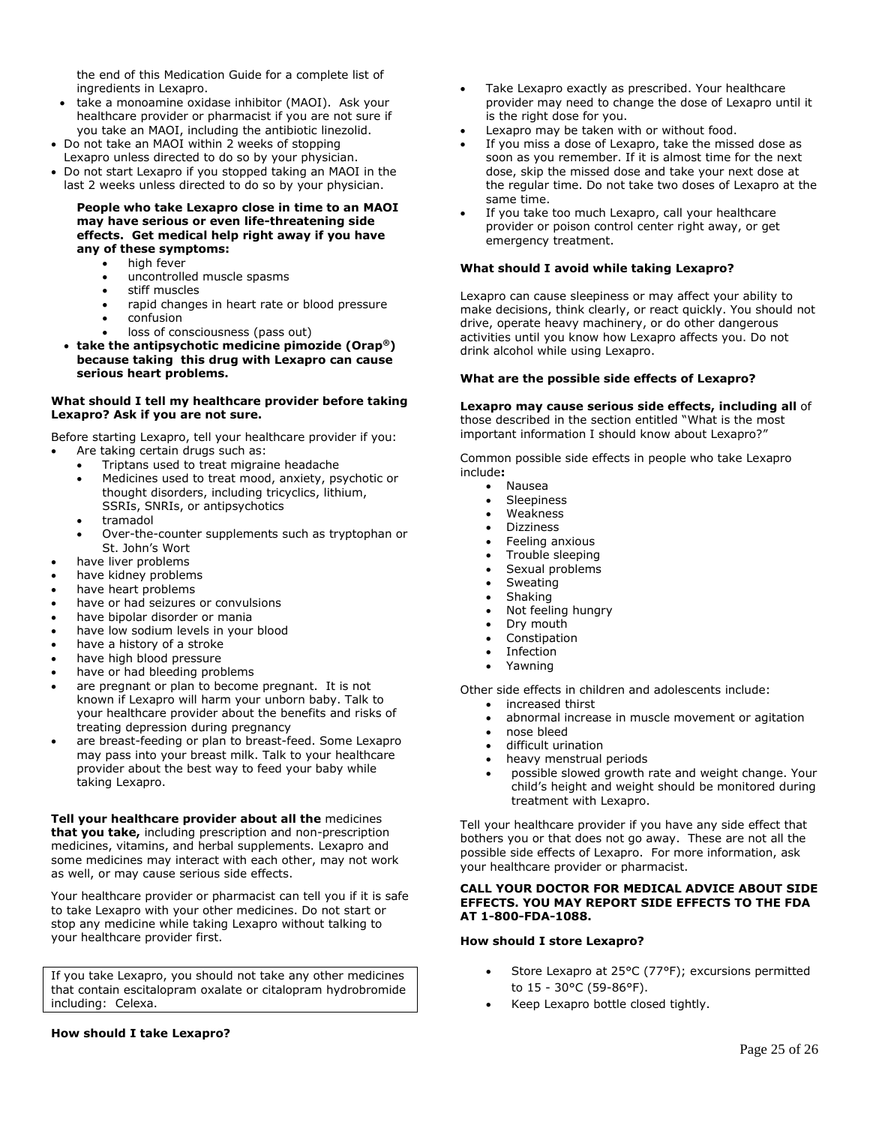the end of this Medication Guide for a complete list of ingredients in Lexapro.

- take a monoamine oxidase inhibitor (MAOI). Ask your healthcare provider or pharmacist if you are not sure if you take an MAOI, including the antibiotic linezolid.
- Do not take an MAOI within 2 weeks of stopping Lexapro unless directed to do so by your physician.
- Do not start Lexapro if you stopped taking an MAOI in the last 2 weeks unless directed to do so by your physician.

#### **People who take Lexapro close in time to an MAOI may have serious or even life-threatening side effects. Get medical help right away if you have any of these symptoms:**

- high fever
- uncontrolled muscle spasms
- stiff muscles
- rapid changes in heart rate or blood pressure
- confusion
- loss of consciousness (pass out)
- **take the antipsychotic medicine pimozide (Orap®) because taking this drug with Lexapro can cause serious heart problems.**

## **What should I tell my healthcare provider before taking Lexapro? Ask if you are not sure.**

Before starting Lexapro, tell your healthcare provider if you: Are taking certain drugs such as:

- Triptans used to treat migraine headache
- Medicines used to treat mood, anxiety, psychotic or thought disorders, including tricyclics, lithium, SSRIs, SNRIs, or antipsychotics
- tramadol
- Over-the-counter supplements such as tryptophan or St. John's Wort
- have liver problems
- have kidney problems
- have heart problems
- have or had seizures or convulsions
- have bipolar disorder or mania
- have low sodium levels in your blood
- have a history of a stroke
- have high blood pressure
- have or had bleeding problems
- are pregnant or plan to become pregnant. It is not known if Lexapro will harm your unborn baby. Talk to your healthcare provider about the benefits and risks of treating depression during pregnancy
- are breast-feeding or plan to breast-feed. Some Lexapro may pass into your breast milk. Talk to your healthcare provider about the best way to feed your baby while taking Lexapro.

**Tell your healthcare provider about all the** medicines **that you take,** including prescription and non-prescription medicines, vitamins, and herbal supplements. Lexapro and some medicines may interact with each other, may not work as well, or may cause serious side effects.

Your healthcare provider or pharmacist can tell you if it is safe to take Lexapro with your other medicines. Do not start or stop any medicine while taking Lexapro without talking to your healthcare provider first.

If you take Lexapro, you should not take any other medicines that contain escitalopram oxalate or citalopram hydrobromide including: Celexa.

- Take Lexapro exactly as prescribed. Your healthcare provider may need to change the dose of Lexapro until it is the right dose for you.
- Lexapro may be taken with or without food.
- If you miss a dose of Lexapro, take the missed dose as soon as you remember. If it is almost time for the next dose, skip the missed dose and take your next dose at the regular time. Do not take two doses of Lexapro at the same time.
- If you take too much Lexapro, call your healthcare provider or poison control center right away, or get emergency treatment.

# **What should I avoid while taking Lexapro?**

Lexapro can cause sleepiness or may affect your ability to make decisions, think clearly, or react quickly. You should not drive, operate heavy machinery, or do other dangerous activities until you know how Lexapro affects you. Do not drink alcohol while using Lexapro.

## **What are the possible side effects of Lexapro?**

**Lexapro may cause serious side effects, including all** of those described in the section entitled "What is the most important information I should know about Lexapro?"

Common possible side effects in people who take Lexapro include**:** 

- Nausea
- Sleepiness
- Weakness
- Dizziness
- Feeling anxious
- Trouble sleeping
- Sexual problems
- Sweating
- Shaking
- Not feeling hungry
- Dry mouth
- Constipation
- Infection
- Yawning

Other side effects in children and adolescents include:

- increased thirst
- abnormal increase in muscle movement or agitation
- nose bleed
- difficult urination
- heavy menstrual periods
- possible slowed growth rate and weight change. Your child's height and weight should be monitored during treatment with Lexapro.

Tell your healthcare provider if you have any side effect that bothers you or that does not go away. These are not all the possible side effects of Lexapro. For more information, ask your healthcare provider or pharmacist.

#### **CALL YOUR DOCTOR FOR MEDICAL ADVICE ABOUT SIDE EFFECTS. YOU MAY REPORT SIDE EFFECTS TO THE FDA AT 1-800-FDA-1088.**

## **How should I store Lexapro?**

- Store Lexapro at 25°C (77°F); excursions permitted to 15 - 30°C (59-86°F).
- Keep Lexapro bottle closed tightly.